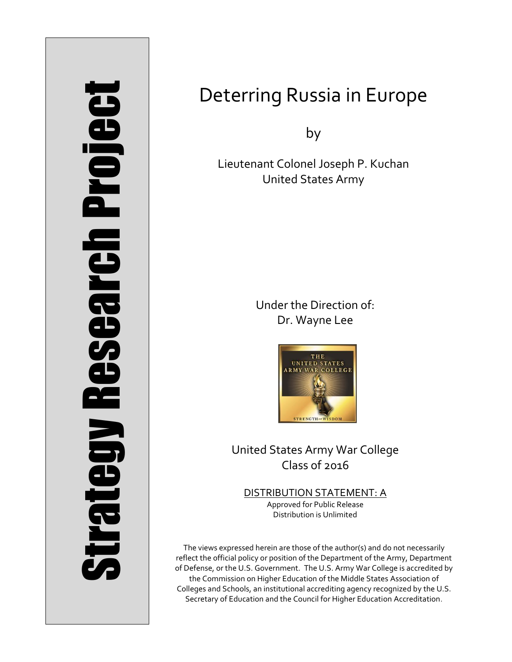# Strategy Research Project **Strategy Research Project**

# Deterring Russia in Europe

by

Lieutenant Colonel Joseph P. Kuchan United States Army

> Under the Direction of: Dr. Wayne Lee



United States Army War College Class of 2016

DISTRIBUTION STATEMENT: A Approved for Public Release Distribution is Unlimited

The views expressed herein are those of the author(s) and do not necessarily reflect the official policy or position of the Department of the Army, Department of Defense, or the U.S. Government. The U.S. Army War College is accredited by the Commission on Higher Education of the Middle States Association of Colleges and Schools, an institutional accrediting agency recognized by the U.S. Secretary of Education and the Council for Higher Education Accreditation.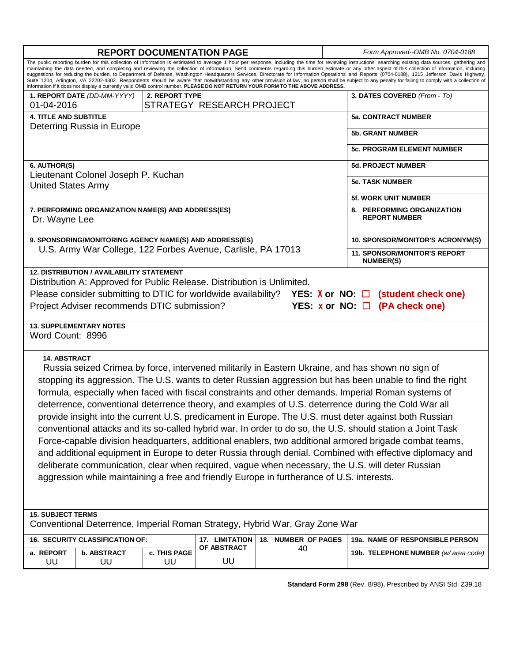| <b>REPORT DOCUMENTATION PAGE</b>                                                                                                                                                                                                                                                                                                                                                                                                                                                                                                                                                                                                                                                                                                                                                                                                                                                                                                                                                                                                                                                                  |                                 |                    |                           |                     | Form Approved--OMB No. 0704-0188 |                                                         |
|---------------------------------------------------------------------------------------------------------------------------------------------------------------------------------------------------------------------------------------------------------------------------------------------------------------------------------------------------------------------------------------------------------------------------------------------------------------------------------------------------------------------------------------------------------------------------------------------------------------------------------------------------------------------------------------------------------------------------------------------------------------------------------------------------------------------------------------------------------------------------------------------------------------------------------------------------------------------------------------------------------------------------------------------------------------------------------------------------|---------------------------------|--------------------|---------------------------|---------------------|----------------------------------|---------------------------------------------------------|
| The public reporting burden for this collection of information is estimated to average 1 hour per response, including the time for reviewing instructions, searching existing data sources, gathering and<br>maintaining the data needed, and completing and reviewing the collection of information. Send comments regarding this burden estimate or any other aspect of this collection of information, including<br>suggestions for reducing the burden, to Department of Defense, Washington Headquarters Services, Directorate for Information Operations and Reports (0704-0188), 1215 Jefferson Davis Highway,<br>Suite 1204, Arlington, VA 22202-4302. Respondents should be aware that notwithstanding any other provision of law, no person shall be subject to any penalty for failing to comply with a collection of<br>information if it does not display a currently valid OMB control number. PLEASE DO NOT RETURN YOUR FORM TO THE ABOVE ADDRESS.                                                                                                                                 |                                 |                    |                           |                     |                                  |                                                         |
| 1. REPORT DATE (DD-MM-YYYY)<br>2. REPORT TYPE                                                                                                                                                                                                                                                                                                                                                                                                                                                                                                                                                                                                                                                                                                                                                                                                                                                                                                                                                                                                                                                     |                                 |                    |                           |                     | 3. DATES COVERED (From - To)     |                                                         |
| 01-04-2016                                                                                                                                                                                                                                                                                                                                                                                                                                                                                                                                                                                                                                                                                                                                                                                                                                                                                                                                                                                                                                                                                        |                                 |                    | STRATEGY RESEARCH PROJECT |                     |                                  |                                                         |
| 4. TITLE AND SUBTITLE                                                                                                                                                                                                                                                                                                                                                                                                                                                                                                                                                                                                                                                                                                                                                                                                                                                                                                                                                                                                                                                                             |                                 |                    |                           |                     |                                  | <b>5a. CONTRACT NUMBER</b>                              |
| Deterring Russia in Europe                                                                                                                                                                                                                                                                                                                                                                                                                                                                                                                                                                                                                                                                                                                                                                                                                                                                                                                                                                                                                                                                        |                                 |                    |                           |                     |                                  | <b>5b. GRANT NUMBER</b>                                 |
|                                                                                                                                                                                                                                                                                                                                                                                                                                                                                                                                                                                                                                                                                                                                                                                                                                                                                                                                                                                                                                                                                                   |                                 |                    |                           |                     |                                  | <b>5c. PROGRAM ELEMENT NUMBER</b>                       |
| 6. AUTHOR(S)                                                                                                                                                                                                                                                                                                                                                                                                                                                                                                                                                                                                                                                                                                                                                                                                                                                                                                                                                                                                                                                                                      |                                 |                    |                           |                     |                                  | <b>5d. PROJECT NUMBER</b>                               |
| Lieutenant Colonel Joseph P. Kuchan<br><b>United States Army</b>                                                                                                                                                                                                                                                                                                                                                                                                                                                                                                                                                                                                                                                                                                                                                                                                                                                                                                                                                                                                                                  |                                 |                    |                           |                     |                                  | <b>5e. TASK NUMBER</b>                                  |
|                                                                                                                                                                                                                                                                                                                                                                                                                                                                                                                                                                                                                                                                                                                                                                                                                                                                                                                                                                                                                                                                                                   |                                 |                    |                           |                     |                                  | <b>5f. WORK UNIT NUMBER</b>                             |
| 7. PERFORMING ORGANIZATION NAME(S) AND ADDRESS(ES)<br>Dr. Wayne Lee                                                                                                                                                                                                                                                                                                                                                                                                                                                                                                                                                                                                                                                                                                                                                                                                                                                                                                                                                                                                                               |                                 |                    |                           |                     |                                  | 8. PERFORMING ORGANIZATION<br><b>REPORT NUMBER</b>      |
| 9. SPONSORING/MONITORING AGENCY NAME(S) AND ADDRESS(ES)                                                                                                                                                                                                                                                                                                                                                                                                                                                                                                                                                                                                                                                                                                                                                                                                                                                                                                                                                                                                                                           |                                 |                    |                           |                     |                                  | 10. SPONSOR/MONITOR'S ACRONYM(S)                        |
| U.S. Army War College, 122 Forbes Avenue, Carlisle, PA 17013                                                                                                                                                                                                                                                                                                                                                                                                                                                                                                                                                                                                                                                                                                                                                                                                                                                                                                                                                                                                                                      |                                 |                    |                           |                     |                                  | <b>11. SPONSOR/MONITOR'S REPORT</b><br><b>NUMBER(S)</b> |
| Distribution A: Approved for Public Release. Distribution is Unlimited.<br>Please consider submitting to DTIC for worldwide availability? YES: $X$ or NO: $\Box$ (student check one)<br>Project Adviser recommends DTIC submission?<br>YES: $x$ or NO: $\Box$ (PA check one)<br><b>13. SUPPLEMENTARY NOTES</b><br>Word Count: 8996                                                                                                                                                                                                                                                                                                                                                                                                                                                                                                                                                                                                                                                                                                                                                                |                                 |                    |                           |                     |                                  |                                                         |
| <b>14. ABSTRACT</b><br>Russia seized Crimea by force, intervened militarily in Eastern Ukraine, and has shown no sign of<br>stopping its aggression. The U.S. wants to deter Russian aggression but has been unable to find the right<br>formula, especially when faced with fiscal constraints and other demands. Imperial Roman systems of<br>deterrence, conventional deterrence theory, and examples of U.S. deterrence during the Cold War all<br>provide insight into the current U.S. predicament in Europe. The U.S. must deter against both Russian<br>conventional attacks and its so-called hybrid war. In order to do so, the U.S. should station a Joint Task<br>Force-capable division headquarters, additional enablers, two additional armored brigade combat teams,<br>and additional equipment in Europe to deter Russia through denial. Combined with effective diplomacy and<br>deliberate communication, clear when required, vague when necessary, the U.S. will deter Russian<br>aggression while maintaining a free and friendly Europe in furtherance of U.S. interests. |                                 |                    |                           |                     |                                  |                                                         |
| <b>15. SUBJECT TERMS</b><br>Conventional Deterrence, Imperial Roman Strategy, Hybrid War, Gray Zone War                                                                                                                                                                                                                                                                                                                                                                                                                                                                                                                                                                                                                                                                                                                                                                                                                                                                                                                                                                                           |                                 |                    |                           |                     |                                  |                                                         |
|                                                                                                                                                                                                                                                                                                                                                                                                                                                                                                                                                                                                                                                                                                                                                                                                                                                                                                                                                                                                                                                                                                   | 16. SECURITY CLASSIFICATION OF: |                    | 17. LIMITATION            | 18. NUMBER OF PAGES |                                  | 19a. NAME OF RESPONSIBLE PERSON                         |
| a. REPORT<br>UU                                                                                                                                                                                                                                                                                                                                                                                                                                                                                                                                                                                                                                                                                                                                                                                                                                                                                                                                                                                                                                                                                   | <b>b. ABSTRACT</b><br>UU        | c. THIS PAGE<br>UU | OF ABSTRACT<br>UU         | 40                  |                                  | 19b. TELEPHONE NUMBER (w/area code)                     |

**Standard Form 298** (Rev. 8/98), Prescribed by ANSI Std. Z39.18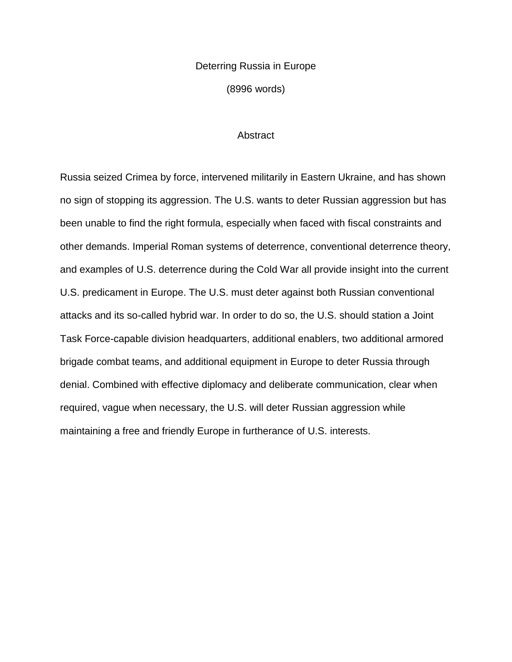## Deterring Russia in Europe (8996 words)

### **Abstract**

Russia seized Crimea by force, intervened militarily in Eastern Ukraine, and has shown no sign of stopping its aggression. The U.S. wants to deter Russian aggression but has been unable to find the right formula, especially when faced with fiscal constraints and other demands. Imperial Roman systems of deterrence, conventional deterrence theory, and examples of U.S. deterrence during the Cold War all provide insight into the current U.S. predicament in Europe. The U.S. must deter against both Russian conventional attacks and its so-called hybrid war. In order to do so, the U.S. should station a Joint Task Force-capable division headquarters, additional enablers, two additional armored brigade combat teams, and additional equipment in Europe to deter Russia through denial. Combined with effective diplomacy and deliberate communication, clear when required, vague when necessary, the U.S. will deter Russian aggression while maintaining a free and friendly Europe in furtherance of U.S. interests.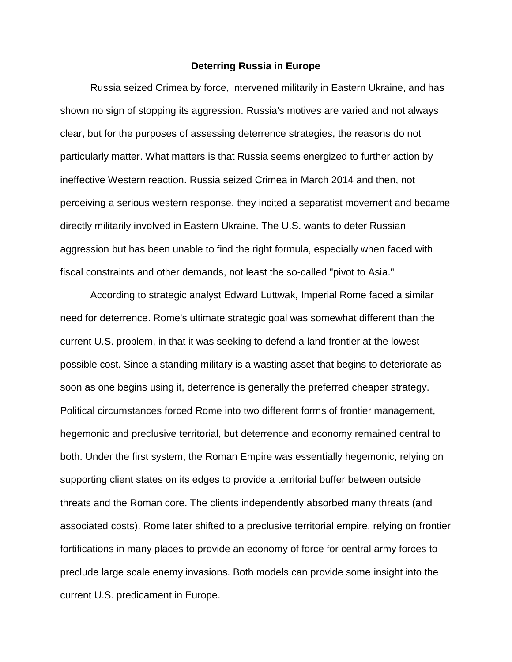### **Deterring Russia in Europe**

Russia seized Crimea by force, intervened militarily in Eastern Ukraine, and has shown no sign of stopping its aggression. Russia's motives are varied and not always clear, but for the purposes of assessing deterrence strategies, the reasons do not particularly matter. What matters is that Russia seems energized to further action by ineffective Western reaction. Russia seized Crimea in March 2014 and then, not perceiving a serious western response, they incited a separatist movement and became directly militarily involved in Eastern Ukraine. The U.S. wants to deter Russian aggression but has been unable to find the right formula, especially when faced with fiscal constraints and other demands, not least the so-called "pivot to Asia."

According to strategic analyst Edward Luttwak, Imperial Rome faced a similar need for deterrence. Rome's ultimate strategic goal was somewhat different than the current U.S. problem, in that it was seeking to defend a land frontier at the lowest possible cost. Since a standing military is a wasting asset that begins to deteriorate as soon as one begins using it, deterrence is generally the preferred cheaper strategy. Political circumstances forced Rome into two different forms of frontier management, hegemonic and preclusive territorial, but deterrence and economy remained central to both. Under the first system, the Roman Empire was essentially hegemonic, relying on supporting client states on its edges to provide a territorial buffer between outside threats and the Roman core. The clients independently absorbed many threats (and associated costs). Rome later shifted to a preclusive territorial empire, relying on frontier fortifications in many places to provide an economy of force for central army forces to preclude large scale enemy invasions. Both models can provide some insight into the current U.S. predicament in Europe.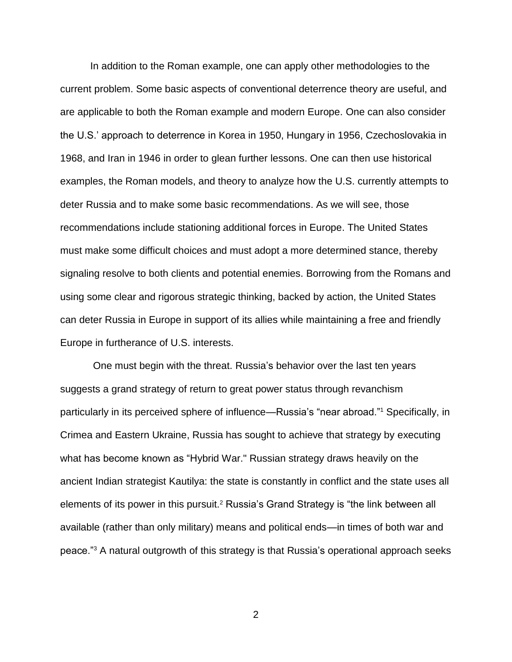In addition to the Roman example, one can apply other methodologies to the current problem. Some basic aspects of conventional deterrence theory are useful, and are applicable to both the Roman example and modern Europe. One can also consider the U.S.' approach to deterrence in Korea in 1950, Hungary in 1956, Czechoslovakia in 1968, and Iran in 1946 in order to glean further lessons. One can then use historical examples, the Roman models, and theory to analyze how the U.S. currently attempts to deter Russia and to make some basic recommendations. As we will see, those recommendations include stationing additional forces in Europe. The United States must make some difficult choices and must adopt a more determined stance, thereby signaling resolve to both clients and potential enemies. Borrowing from the Romans and using some clear and rigorous strategic thinking, backed by action, the United States can deter Russia in Europe in support of its allies while maintaining a free and friendly Europe in furtherance of U.S. interests.

One must begin with the threat. Russia's behavior over the last ten years suggests a grand strategy of return to great power status through revanchism particularly in its perceived sphere of influence—Russia's "near abroad."<sup>1</sup> Specifically, in Crimea and Eastern Ukraine, Russia has sought to achieve that strategy by executing what has become known as "Hybrid War." Russian strategy draws heavily on the ancient Indian strategist Kautilya: the state is constantly in conflict and the state uses all elements of its power in this pursuit.<sup>2</sup> Russia's Grand Strategy is "the link between all available (rather than only military) means and political ends—in times of both war and peace."<sup>3</sup> A natural outgrowth of this strategy is that Russia's operational approach seeks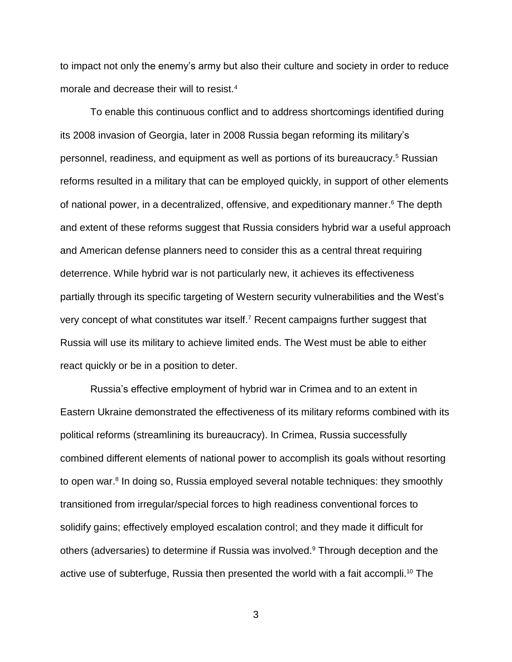to impact not only the enemy's army but also their culture and society in order to reduce morale and decrease their will to resist.<sup>4</sup>

To enable this continuous conflict and to address shortcomings identified during its 2008 invasion of Georgia, later in 2008 Russia began reforming its military's personnel, readiness, and equipment as well as portions of its bureaucracy. <sup>5</sup> Russian reforms resulted in a military that can be employed quickly, in support of other elements of national power, in a decentralized, offensive, and expeditionary manner. <sup>6</sup> The depth and extent of these reforms suggest that Russia considers hybrid war a useful approach and American defense planners need to consider this as a central threat requiring deterrence. While hybrid war is not particularly new, it achieves its effectiveness partially through its specific targeting of Western security vulnerabilities and the West's very concept of what constitutes war itself.<sup>7</sup> Recent campaigns further suggest that Russia will use its military to achieve limited ends. The West must be able to either react quickly or be in a position to deter.

Russia's effective employment of hybrid war in Crimea and to an extent in Eastern Ukraine demonstrated the effectiveness of its military reforms combined with its political reforms (streamlining its bureaucracy). In Crimea, Russia successfully combined different elements of national power to accomplish its goals without resorting to open war. 8 In doing so, Russia employed several notable techniques: they smoothly transitioned from irregular/special forces to high readiness conventional forces to solidify gains; effectively employed escalation control; and they made it difficult for others (adversaries) to determine if Russia was involved.<sup>9</sup> Through deception and the active use of subterfuge, Russia then presented the world with a fait accompli. <sup>10</sup> The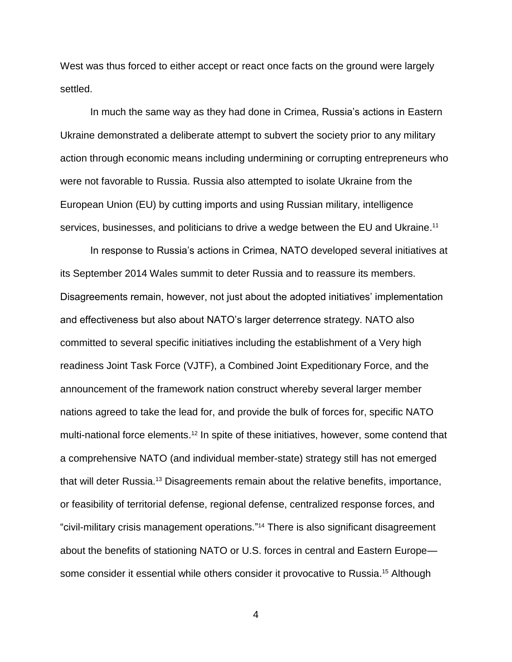West was thus forced to either accept or react once facts on the ground were largely settled.

In much the same way as they had done in Crimea, Russia's actions in Eastern Ukraine demonstrated a deliberate attempt to subvert the society prior to any military action through economic means including undermining or corrupting entrepreneurs who were not favorable to Russia. Russia also attempted to isolate Ukraine from the European Union (EU) by cutting imports and using Russian military, intelligence services, businesses, and politicians to drive a wedge between the EU and Ukraine.<sup>11</sup>

In response to Russia's actions in Crimea, NATO developed several initiatives at its September 2014 Wales summit to deter Russia and to reassure its members. Disagreements remain, however, not just about the adopted initiatives' implementation and effectiveness but also about NATO's larger deterrence strategy. NATO also committed to several specific initiatives including the establishment of a Very high readiness Joint Task Force (VJTF), a Combined Joint Expeditionary Force, and the announcement of the framework nation construct whereby several larger member nations agreed to take the lead for, and provide the bulk of forces for, specific NATO multi-national force elements. <sup>12</sup> In spite of these initiatives, however, some contend that a comprehensive NATO (and individual member-state) strategy still has not emerged that will deter Russia.<sup>13</sup> Disagreements remain about the relative benefits, importance, or feasibility of territorial defense, regional defense, centralized response forces, and "civil-military crisis management operations." <sup>14</sup> There is also significant disagreement about the benefits of stationing NATO or U.S. forces in central and Eastern Europe some consider it essential while others consider it provocative to Russia. <sup>15</sup> Although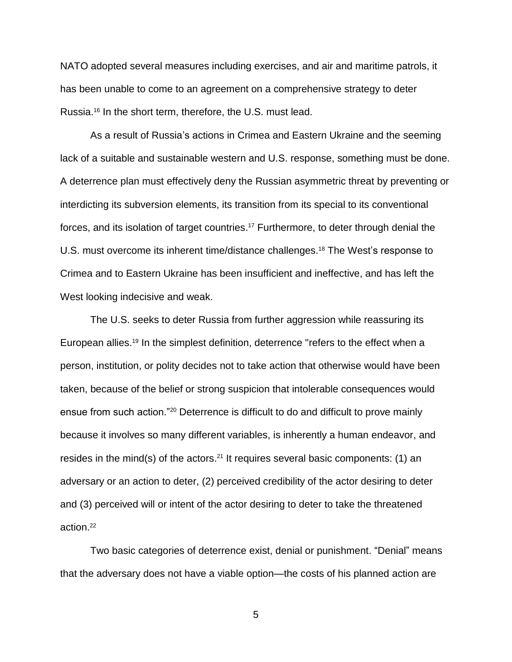NATO adopted several measures including exercises, and air and maritime patrols, it has been unable to come to an agreement on a comprehensive strategy to deter Russia.<sup>16</sup> In the short term, therefore, the U.S. must lead.

As a result of Russia's actions in Crimea and Eastern Ukraine and the seeming lack of a suitable and sustainable western and U.S. response, something must be done. A deterrence plan must effectively deny the Russian asymmetric threat by preventing or interdicting its subversion elements, its transition from its special to its conventional forces, and its isolation of target countries.<sup>17</sup> Furthermore, to deter through denial the U.S. must overcome its inherent time/distance challenges.<sup>18</sup> The West's response to Crimea and to Eastern Ukraine has been insufficient and ineffective, and has left the West looking indecisive and weak.

The U.S. seeks to deter Russia from further aggression while reassuring its European allies.<sup>19</sup> In the simplest definition, deterrence "refers to the effect when a person, institution, or polity decides not to take action that otherwise would have been taken, because of the belief or strong suspicion that intolerable consequences would ensue from such action."<sup>20</sup> Deterrence is difficult to do and difficult to prove mainly because it involves so many different variables, is inherently a human endeavor, and resides in the mind(s) of the actors.<sup>21</sup> It requires several basic components: (1) an adversary or an action to deter, (2) perceived credibility of the actor desiring to deter and (3) perceived will or intent of the actor desiring to deter to take the threatened action.<sup>22</sup>

Two basic categories of deterrence exist, denial or punishment. "Denial" means that the adversary does not have a viable option—the costs of his planned action are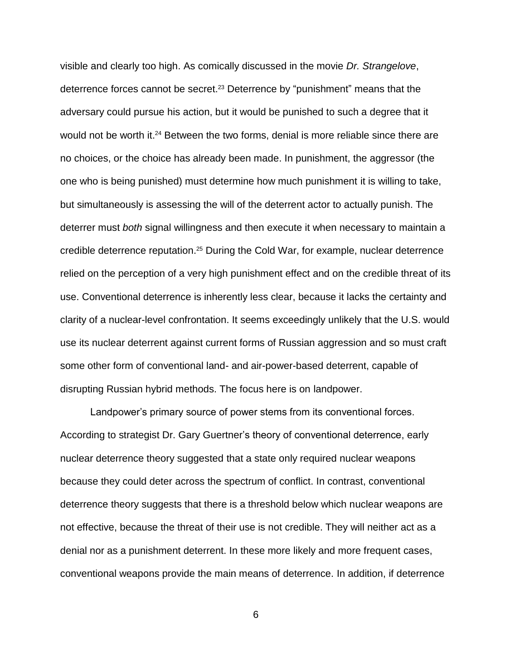visible and clearly too high. As comically discussed in the movie *Dr. Strangelove*, deterrence forces cannot be secret.<sup>23</sup> Deterrence by "punishment" means that the adversary could pursue his action, but it would be punished to such a degree that it would not be worth it.<sup>24</sup> Between the two forms, denial is more reliable since there are no choices, or the choice has already been made. In punishment, the aggressor (the one who is being punished) must determine how much punishment it is willing to take, but simultaneously is assessing the will of the deterrent actor to actually punish. The deterrer must *both* signal willingness and then execute it when necessary to maintain a credible deterrence reputation. <sup>25</sup> During the Cold War, for example, nuclear deterrence relied on the perception of a very high punishment effect and on the credible threat of its use. Conventional deterrence is inherently less clear, because it lacks the certainty and clarity of a nuclear-level confrontation. It seems exceedingly unlikely that the U.S. would use its nuclear deterrent against current forms of Russian aggression and so must craft some other form of conventional land- and air-power-based deterrent, capable of disrupting Russian hybrid methods. The focus here is on landpower.

Landpower's primary source of power stems from its conventional forces. According to strategist Dr. Gary Guertner's theory of conventional deterrence, early nuclear deterrence theory suggested that a state only required nuclear weapons because they could deter across the spectrum of conflict. In contrast, conventional deterrence theory suggests that there is a threshold below which nuclear weapons are not effective, because the threat of their use is not credible. They will neither act as a denial nor as a punishment deterrent. In these more likely and more frequent cases, conventional weapons provide the main means of deterrence. In addition, if deterrence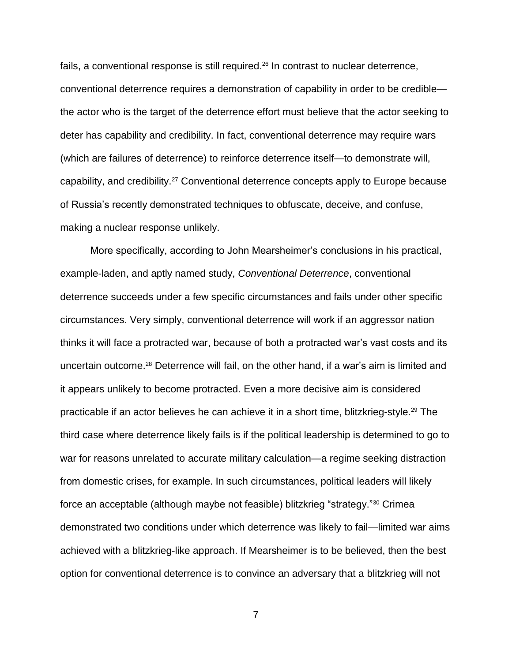fails, a conventional response is still required.<sup>26</sup> In contrast to nuclear deterrence, conventional deterrence requires a demonstration of capability in order to be credible the actor who is the target of the deterrence effort must believe that the actor seeking to deter has capability and credibility. In fact, conventional deterrence may require wars (which are failures of deterrence) to reinforce deterrence itself—to demonstrate will, capability, and credibility.<sup>27</sup> Conventional deterrence concepts apply to Europe because of Russia's recently demonstrated techniques to obfuscate, deceive, and confuse, making a nuclear response unlikely.

More specifically, according to John Mearsheimer's conclusions in his practical, example-laden, and aptly named study, *Conventional Deterrence*, conventional deterrence succeeds under a few specific circumstances and fails under other specific circumstances. Very simply, conventional deterrence will work if an aggressor nation thinks it will face a protracted war, because of both a protracted war's vast costs and its uncertain outcome.<sup>28</sup> Deterrence will fail, on the other hand, if a war's aim is limited and it appears unlikely to become protracted. Even a more decisive aim is considered practicable if an actor believes he can achieve it in a short time, blitzkrieg-style.<sup>29</sup> The third case where deterrence likely fails is if the political leadership is determined to go to war for reasons unrelated to accurate military calculation—a regime seeking distraction from domestic crises, for example. In such circumstances, political leaders will likely force an acceptable (although maybe not feasible) blitzkrieg "strategy."<sup>30</sup> Crimea demonstrated two conditions under which deterrence was likely to fail—limited war aims achieved with a blitzkrieg-like approach. If Mearsheimer is to be believed, then the best option for conventional deterrence is to convince an adversary that a blitzkrieg will not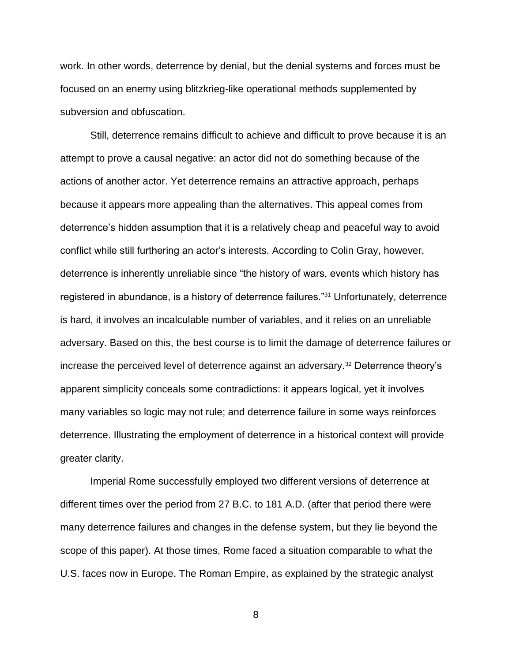work. In other words, deterrence by denial, but the denial systems and forces must be focused on an enemy using blitzkrieg-like operational methods supplemented by subversion and obfuscation.

Still, deterrence remains difficult to achieve and difficult to prove because it is an attempt to prove a causal negative: an actor did not do something because of the actions of another actor. Yet deterrence remains an attractive approach, perhaps because it appears more appealing than the alternatives. This appeal comes from deterrence's hidden assumption that it is a relatively cheap and peaceful way to avoid conflict while still furthering an actor's interests. According to Colin Gray, however, deterrence is inherently unreliable since "the history of wars, events which history has registered in abundance, is a history of deterrence failures."<sup>31</sup> Unfortunately, deterrence is hard, it involves an incalculable number of variables, and it relies on an unreliable adversary. Based on this, the best course is to limit the damage of deterrence failures or increase the perceived level of deterrence against an adversary.<sup>32</sup> Deterrence theory's apparent simplicity conceals some contradictions: it appears logical, yet it involves many variables so logic may not rule; and deterrence failure in some ways reinforces deterrence. Illustrating the employment of deterrence in a historical context will provide greater clarity.

Imperial Rome successfully employed two different versions of deterrence at different times over the period from 27 B.C. to 181 A.D. (after that period there were many deterrence failures and changes in the defense system, but they lie beyond the scope of this paper). At those times, Rome faced a situation comparable to what the U.S. faces now in Europe. The Roman Empire, as explained by the strategic analyst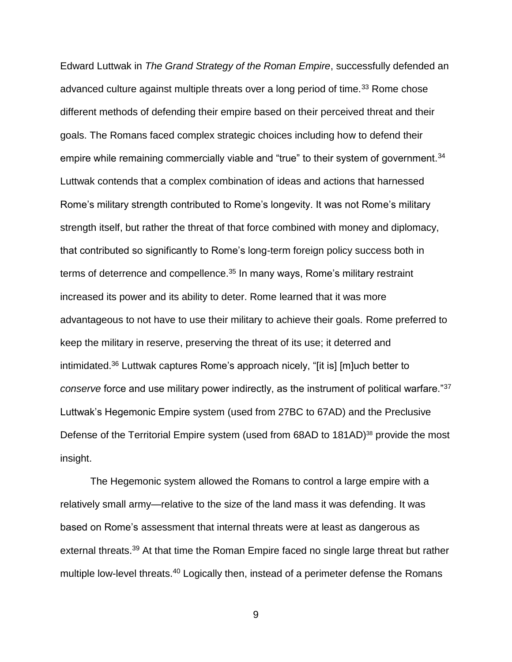Edward Luttwak in *The Grand Strategy of the Roman Empire*, successfully defended an advanced culture against multiple threats over a long period of time.<sup>33</sup> Rome chose different methods of defending their empire based on their perceived threat and their goals. The Romans faced complex strategic choices including how to defend their empire while remaining commercially viable and "true" to their system of government.<sup>34</sup> Luttwak contends that a complex combination of ideas and actions that harnessed Rome's military strength contributed to Rome's longevity. It was not Rome's military strength itself, but rather the threat of that force combined with money and diplomacy, that contributed so significantly to Rome's long-term foreign policy success both in terms of deterrence and compellence.<sup>35</sup> In many ways, Rome's military restraint increased its power and its ability to deter. Rome learned that it was more advantageous to not have to use their military to achieve their goals. Rome preferred to keep the military in reserve, preserving the threat of its use; it deterred and intimidated. <sup>36</sup> Luttwak captures Rome's approach nicely, "[it is] [m]uch better to *conserve* force and use military power indirectly, as the instrument of political warfare."<sup>37</sup> Luttwak's Hegemonic Empire system (used from 27BC to 67AD) and the Preclusive Defense of the Territorial Empire system (used from 68AD to 181AD)<sup>38</sup> provide the most insight.

The Hegemonic system allowed the Romans to control a large empire with a relatively small army—relative to the size of the land mass it was defending. It was based on Rome's assessment that internal threats were at least as dangerous as external threats.<sup>39</sup> At that time the Roman Empire faced no single large threat but rather multiple low-level threats.<sup>40</sup> Logically then, instead of a perimeter defense the Romans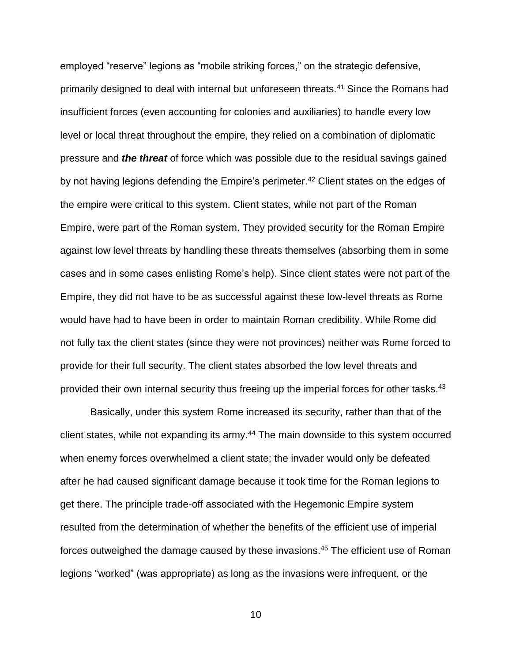employed "reserve" legions as "mobile striking forces," on the strategic defensive, primarily designed to deal with internal but unforeseen threats.<sup>41</sup> Since the Romans had insufficient forces (even accounting for colonies and auxiliaries) to handle every low level or local threat throughout the empire, they relied on a combination of diplomatic pressure and *the threat* of force which was possible due to the residual savings gained by not having legions defending the Empire's perimeter.<sup>42</sup> Client states on the edges of the empire were critical to this system. Client states, while not part of the Roman Empire, were part of the Roman system. They provided security for the Roman Empire against low level threats by handling these threats themselves (absorbing them in some cases and in some cases enlisting Rome's help). Since client states were not part of the Empire, they did not have to be as successful against these low-level threats as Rome would have had to have been in order to maintain Roman credibility. While Rome did not fully tax the client states (since they were not provinces) neither was Rome forced to provide for their full security. The client states absorbed the low level threats and provided their own internal security thus freeing up the imperial forces for other tasks.<sup>43</sup>

Basically, under this system Rome increased its security, rather than that of the client states, while not expanding its army.<sup>44</sup> The main downside to this system occurred when enemy forces overwhelmed a client state; the invader would only be defeated after he had caused significant damage because it took time for the Roman legions to get there. The principle trade-off associated with the Hegemonic Empire system resulted from the determination of whether the benefits of the efficient use of imperial forces outweighed the damage caused by these invasions.<sup>45</sup> The efficient use of Roman legions "worked" (was appropriate) as long as the invasions were infrequent, or the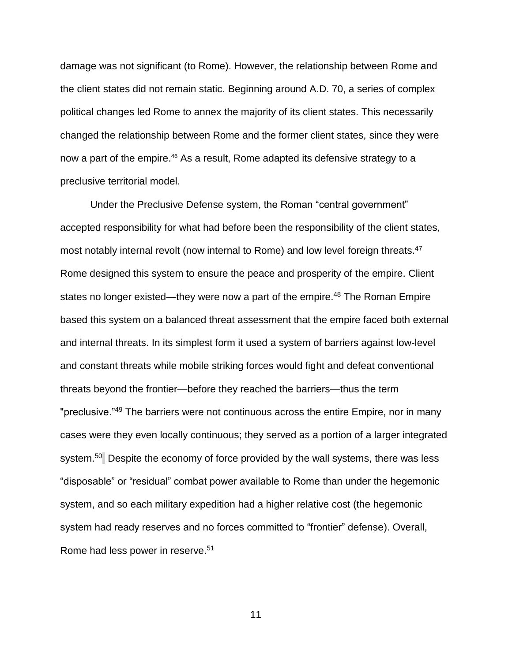damage was not significant (to Rome). However, the relationship between Rome and the client states did not remain static. Beginning around A.D. 70, a series of complex political changes led Rome to annex the majority of its client states. This necessarily changed the relationship between Rome and the former client states, since they were now a part of the empire.<sup>46</sup> As a result, Rome adapted its defensive strategy to a preclusive territorial model.

Under the Preclusive Defense system, the Roman "central government" accepted responsibility for what had before been the responsibility of the client states, most notably internal revolt (now internal to Rome) and low level foreign threats. 47 Rome designed this system to ensure the peace and prosperity of the empire. Client states no longer existed—they were now a part of the empire.<sup>48</sup> The Roman Empire based this system on a balanced threat assessment that the empire faced both external and internal threats. In its simplest form it used a system of barriers against low-level and constant threats while mobile striking forces would fight and defeat conventional threats beyond the frontier—before they reached the barriers—thus the term "preclusive."<sup>49</sup> The barriers were not continuous across the entire Empire, nor in many cases were they even locally continuous; they served as a portion of a larger integrated system.<sup>50</sup> Despite the economy of force provided by the wall systems, there was less "disposable" or "residual" combat power available to Rome than under the hegemonic system, and so each military expedition had a higher relative cost (the hegemonic system had ready reserves and no forces committed to "frontier" defense). Overall, Rome had less power in reserve.<sup>51</sup>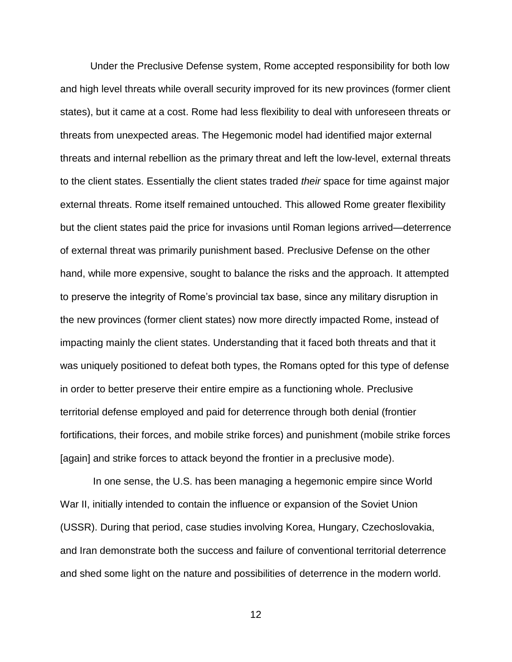Under the Preclusive Defense system, Rome accepted responsibility for both low and high level threats while overall security improved for its new provinces (former client states), but it came at a cost. Rome had less flexibility to deal with unforeseen threats or threats from unexpected areas. The Hegemonic model had identified major external threats and internal rebellion as the primary threat and left the low-level, external threats to the client states. Essentially the client states traded *their* space for time against major external threats. Rome itself remained untouched. This allowed Rome greater flexibility but the client states paid the price for invasions until Roman legions arrived—deterrence of external threat was primarily punishment based. Preclusive Defense on the other hand, while more expensive, sought to balance the risks and the approach. It attempted to preserve the integrity of Rome's provincial tax base, since any military disruption in the new provinces (former client states) now more directly impacted Rome, instead of impacting mainly the client states. Understanding that it faced both threats and that it was uniquely positioned to defeat both types, the Romans opted for this type of defense in order to better preserve their entire empire as a functioning whole. Preclusive territorial defense employed and paid for deterrence through both denial (frontier fortifications, their forces, and mobile strike forces) and punishment (mobile strike forces [again] and strike forces to attack beyond the frontier in a preclusive mode).

In one sense, the U.S. has been managing a hegemonic empire since World War II, initially intended to contain the influence or expansion of the Soviet Union (USSR). During that period, case studies involving Korea, Hungary, Czechoslovakia, and Iran demonstrate both the success and failure of conventional territorial deterrence and shed some light on the nature and possibilities of deterrence in the modern world.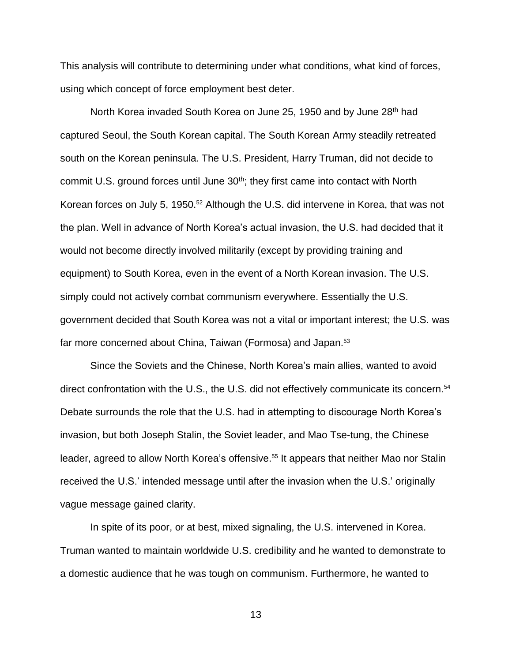This analysis will contribute to determining under what conditions, what kind of forces, using which concept of force employment best deter.

North Korea invaded South Korea on June 25, 1950 and by June 28<sup>th</sup> had captured Seoul, the South Korean capital. The South Korean Army steadily retreated south on the Korean peninsula. The U.S. President, Harry Truman, did not decide to commit U.S. ground forces until June 30<sup>th</sup>; they first came into contact with North Korean forces on July 5, 1950.<sup>52</sup> Although the U.S. did intervene in Korea, that was not the plan. Well in advance of North Korea's actual invasion, the U.S. had decided that it would not become directly involved militarily (except by providing training and equipment) to South Korea, even in the event of a North Korean invasion. The U.S. simply could not actively combat communism everywhere. Essentially the U.S. government decided that South Korea was not a vital or important interest; the U.S. was far more concerned about China, Taiwan (Formosa) and Japan.<sup>53</sup>

Since the Soviets and the Chinese, North Korea's main allies, wanted to avoid direct confrontation with the U.S., the U.S. did not effectively communicate its concern.<sup>54</sup> Debate surrounds the role that the U.S. had in attempting to discourage North Korea's invasion, but both Joseph Stalin, the Soviet leader, and Mao Tse-tung, the Chinese leader, agreed to allow North Korea's offensive.<sup>55</sup> It appears that neither Mao nor Stalin received the U.S.' intended message until after the invasion when the U.S.' originally vague message gained clarity.

In spite of its poor, or at best, mixed signaling, the U.S. intervened in Korea. Truman wanted to maintain worldwide U.S. credibility and he wanted to demonstrate to a domestic audience that he was tough on communism. Furthermore, he wanted to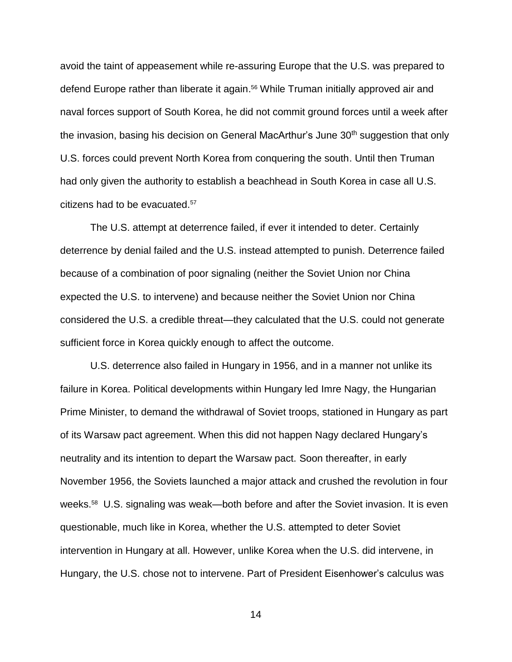avoid the taint of appeasement while re-assuring Europe that the U.S. was prepared to defend Europe rather than liberate it again. <sup>56</sup> While Truman initially approved air and naval forces support of South Korea, he did not commit ground forces until a week after the invasion, basing his decision on General MacArthur's June 30<sup>th</sup> suggestion that only U.S. forces could prevent North Korea from conquering the south. Until then Truman had only given the authority to establish a beachhead in South Korea in case all U.S. citizens had to be evacuated.<sup>57</sup>

The U.S. attempt at deterrence failed, if ever it intended to deter. Certainly deterrence by denial failed and the U.S. instead attempted to punish. Deterrence failed because of a combination of poor signaling (neither the Soviet Union nor China expected the U.S. to intervene) and because neither the Soviet Union nor China considered the U.S. a credible threat—they calculated that the U.S. could not generate sufficient force in Korea quickly enough to affect the outcome.

U.S. deterrence also failed in Hungary in 1956, and in a manner not unlike its failure in Korea. Political developments within Hungary led Imre Nagy, the Hungarian Prime Minister, to demand the withdrawal of Soviet troops, stationed in Hungary as part of its Warsaw pact agreement. When this did not happen Nagy declared Hungary's neutrality and its intention to depart the Warsaw pact. Soon thereafter, in early November 1956, the Soviets launched a major attack and crushed the revolution in four weeks.<sup>58</sup> U.S. signaling was weak—both before and after the Soviet invasion. It is even questionable, much like in Korea, whether the U.S. attempted to deter Soviet intervention in Hungary at all. However, unlike Korea when the U.S. did intervene, in Hungary, the U.S. chose not to intervene. Part of President Eisenhower's calculus was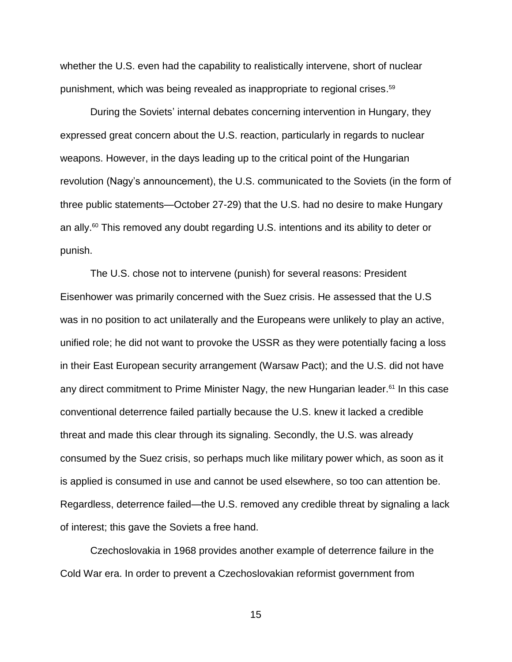whether the U.S. even had the capability to realistically intervene, short of nuclear punishment, which was being revealed as inappropriate to regional crises. 59

During the Soviets' internal debates concerning intervention in Hungary, they expressed great concern about the U.S. reaction, particularly in regards to nuclear weapons. However, in the days leading up to the critical point of the Hungarian revolution (Nagy's announcement), the U.S. communicated to the Soviets (in the form of three public statements—October 27-29) that the U.S. had no desire to make Hungary an ally.<sup>60</sup> This removed any doubt regarding U.S. intentions and its ability to deter or punish.

The U.S. chose not to intervene (punish) for several reasons: President Eisenhower was primarily concerned with the Suez crisis. He assessed that the U.S was in no position to act unilaterally and the Europeans were unlikely to play an active, unified role; he did not want to provoke the USSR as they were potentially facing a loss in their East European security arrangement (Warsaw Pact); and the U.S. did not have any direct commitment to Prime Minister Nagy, the new Hungarian leader.<sup>61</sup> In this case conventional deterrence failed partially because the U.S. knew it lacked a credible threat and made this clear through its signaling. Secondly, the U.S. was already consumed by the Suez crisis, so perhaps much like military power which, as soon as it is applied is consumed in use and cannot be used elsewhere, so too can attention be. Regardless, deterrence failed—the U.S. removed any credible threat by signaling a lack of interest; this gave the Soviets a free hand.

Czechoslovakia in 1968 provides another example of deterrence failure in the Cold War era. In order to prevent a Czechoslovakian reformist government from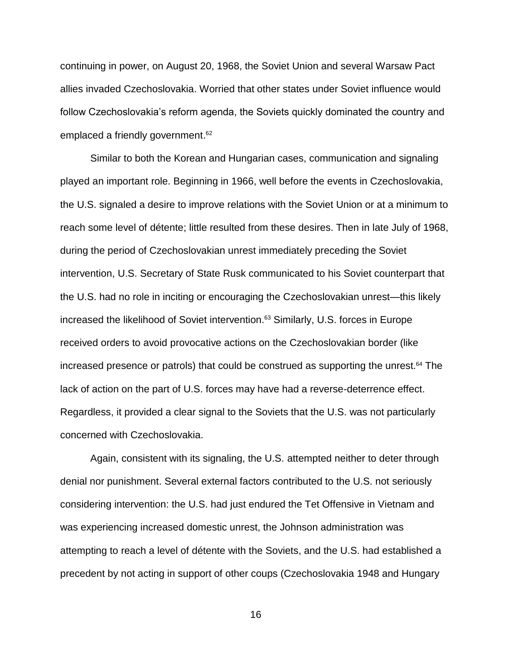continuing in power, on August 20, 1968, the Soviet Union and several Warsaw Pact allies invaded Czechoslovakia. Worried that other states under Soviet influence would follow Czechoslovakia's reform agenda, the Soviets quickly dominated the country and emplaced a friendly government. 62

Similar to both the Korean and Hungarian cases, communication and signaling played an important role. Beginning in 1966, well before the events in Czechoslovakia, the U.S. signaled a desire to improve relations with the Soviet Union or at a minimum to reach some level of détente; little resulted from these desires. Then in late July of 1968, during the period of Czechoslovakian unrest immediately preceding the Soviet intervention, U.S. Secretary of State Rusk communicated to his Soviet counterpart that the U.S. had no role in inciting or encouraging the Czechoslovakian unrest—this likely increased the likelihood of Soviet intervention. <sup>63</sup> Similarly, U.S. forces in Europe received orders to avoid provocative actions on the Czechoslovakian border (like increased presence or patrols) that could be construed as supporting the unrest.<sup>64</sup> The lack of action on the part of U.S. forces may have had a reverse-deterrence effect. Regardless, it provided a clear signal to the Soviets that the U.S. was not particularly concerned with Czechoslovakia.

Again, consistent with its signaling, the U.S. attempted neither to deter through denial nor punishment. Several external factors contributed to the U.S. not seriously considering intervention: the U.S. had just endured the Tet Offensive in Vietnam and was experiencing increased domestic unrest, the Johnson administration was attempting to reach a level of détente with the Soviets, and the U.S. had established a precedent by not acting in support of other coups (Czechoslovakia 1948 and Hungary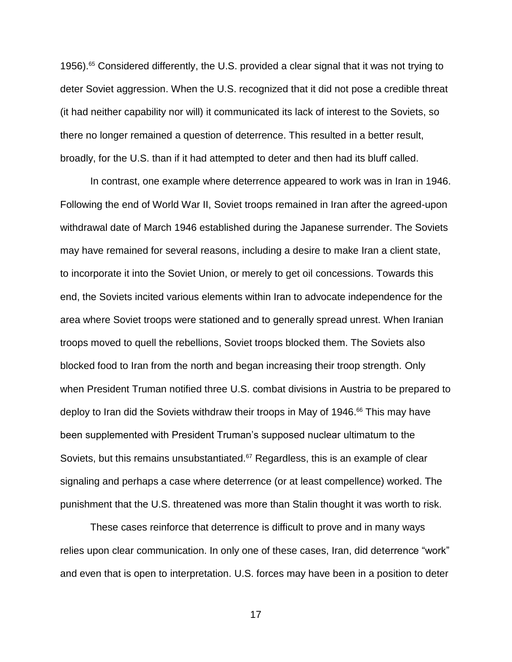1956). <sup>65</sup> Considered differently, the U.S. provided a clear signal that it was not trying to deter Soviet aggression. When the U.S. recognized that it did not pose a credible threat (it had neither capability nor will) it communicated its lack of interest to the Soviets, so there no longer remained a question of deterrence. This resulted in a better result, broadly, for the U.S. than if it had attempted to deter and then had its bluff called.

In contrast, one example where deterrence appeared to work was in Iran in 1946. Following the end of World War II, Soviet troops remained in Iran after the agreed-upon withdrawal date of March 1946 established during the Japanese surrender. The Soviets may have remained for several reasons, including a desire to make Iran a client state, to incorporate it into the Soviet Union, or merely to get oil concessions. Towards this end, the Soviets incited various elements within Iran to advocate independence for the area where Soviet troops were stationed and to generally spread unrest. When Iranian troops moved to quell the rebellions, Soviet troops blocked them. The Soviets also blocked food to Iran from the north and began increasing their troop strength. Only when President Truman notified three U.S. combat divisions in Austria to be prepared to deploy to Iran did the Soviets withdraw their troops in May of 1946. <sup>66</sup> This may have been supplemented with President Truman's supposed nuclear ultimatum to the Soviets, but this remains unsubstantiated. $67$  Regardless, this is an example of clear signaling and perhaps a case where deterrence (or at least compellence) worked. The punishment that the U.S. threatened was more than Stalin thought it was worth to risk.

These cases reinforce that deterrence is difficult to prove and in many ways relies upon clear communication. In only one of these cases, Iran, did deterrence "work" and even that is open to interpretation. U.S. forces may have been in a position to deter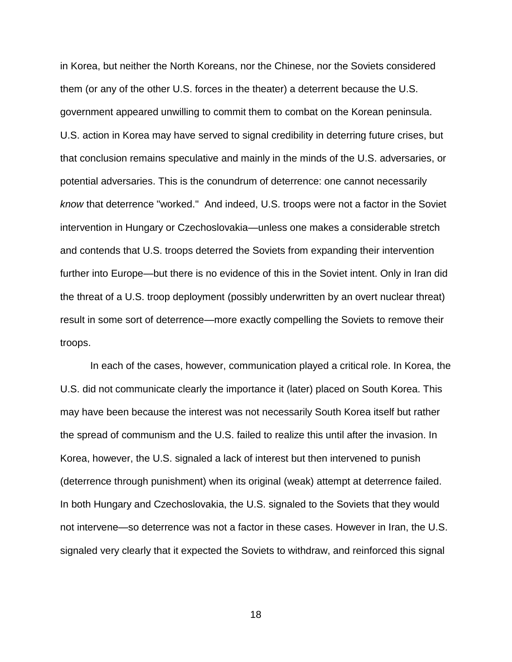in Korea, but neither the North Koreans, nor the Chinese, nor the Soviets considered them (or any of the other U.S. forces in the theater) a deterrent because the U.S. government appeared unwilling to commit them to combat on the Korean peninsula. U.S. action in Korea may have served to signal credibility in deterring future crises, but that conclusion remains speculative and mainly in the minds of the U.S. adversaries, or potential adversaries. This is the conundrum of deterrence: one cannot necessarily *know* that deterrence "worked." And indeed, U.S. troops were not a factor in the Soviet intervention in Hungary or Czechoslovakia—unless one makes a considerable stretch and contends that U.S. troops deterred the Soviets from expanding their intervention further into Europe—but there is no evidence of this in the Soviet intent. Only in Iran did the threat of a U.S. troop deployment (possibly underwritten by an overt nuclear threat) result in some sort of deterrence—more exactly compelling the Soviets to remove their troops.

In each of the cases, however, communication played a critical role. In Korea, the U.S. did not communicate clearly the importance it (later) placed on South Korea. This may have been because the interest was not necessarily South Korea itself but rather the spread of communism and the U.S. failed to realize this until after the invasion. In Korea, however, the U.S. signaled a lack of interest but then intervened to punish (deterrence through punishment) when its original (weak) attempt at deterrence failed. In both Hungary and Czechoslovakia, the U.S. signaled to the Soviets that they would not intervene—so deterrence was not a factor in these cases. However in Iran, the U.S. signaled very clearly that it expected the Soviets to withdraw, and reinforced this signal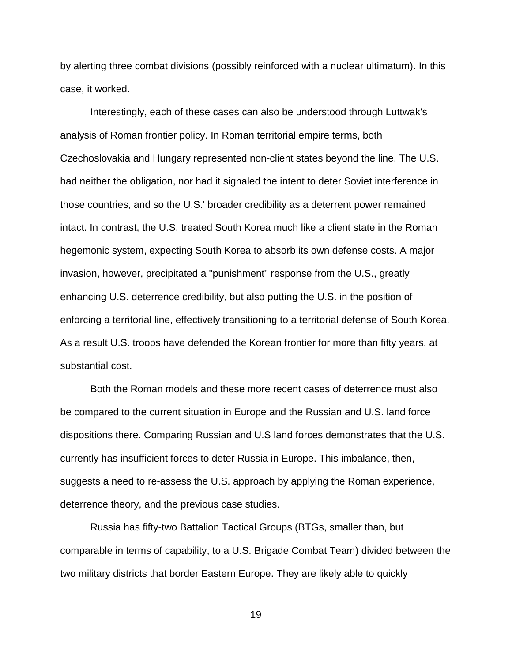by alerting three combat divisions (possibly reinforced with a nuclear ultimatum). In this case, it worked.

Interestingly, each of these cases can also be understood through Luttwak's analysis of Roman frontier policy. In Roman territorial empire terms, both Czechoslovakia and Hungary represented non-client states beyond the line. The U.S. had neither the obligation, nor had it signaled the intent to deter Soviet interference in those countries, and so the U.S.' broader credibility as a deterrent power remained intact. In contrast, the U.S. treated South Korea much like a client state in the Roman hegemonic system, expecting South Korea to absorb its own defense costs. A major invasion, however, precipitated a "punishment" response from the U.S., greatly enhancing U.S. deterrence credibility, but also putting the U.S. in the position of enforcing a territorial line, effectively transitioning to a territorial defense of South Korea. As a result U.S. troops have defended the Korean frontier for more than fifty years, at substantial cost.

Both the Roman models and these more recent cases of deterrence must also be compared to the current situation in Europe and the Russian and U.S. land force dispositions there. Comparing Russian and U.S land forces demonstrates that the U.S. currently has insufficient forces to deter Russia in Europe. This imbalance, then, suggests a need to re-assess the U.S. approach by applying the Roman experience, deterrence theory, and the previous case studies.

Russia has fifty-two Battalion Tactical Groups (BTGs, smaller than, but comparable in terms of capability, to a U.S. Brigade Combat Team) divided between the two military districts that border Eastern Europe. They are likely able to quickly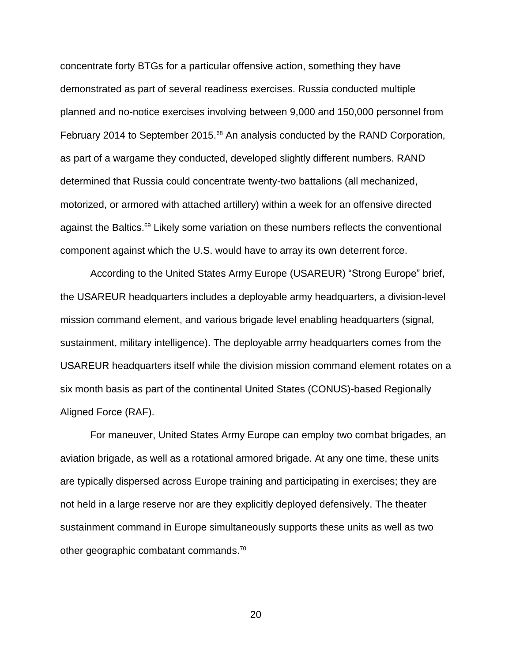concentrate forty BTGs for a particular offensive action, something they have demonstrated as part of several readiness exercises. Russia conducted multiple planned and no-notice exercises involving between 9,000 and 150,000 personnel from February 2014 to September 2015.<sup>68</sup> An analysis conducted by the RAND Corporation, as part of a wargame they conducted, developed slightly different numbers. RAND determined that Russia could concentrate twenty-two battalions (all mechanized, motorized, or armored with attached artillery) within a week for an offensive directed against the Baltics.<sup>69</sup> Likely some variation on these numbers reflects the conventional component against which the U.S. would have to array its own deterrent force.

According to the United States Army Europe (USAREUR) "Strong Europe" brief, the USAREUR headquarters includes a deployable army headquarters, a division-level mission command element, and various brigade level enabling headquarters (signal, sustainment, military intelligence). The deployable army headquarters comes from the USAREUR headquarters itself while the division mission command element rotates on a six month basis as part of the continental United States (CONUS)-based Regionally Aligned Force (RAF).

For maneuver, United States Army Europe can employ two combat brigades, an aviation brigade, as well as a rotational armored brigade. At any one time, these units are typically dispersed across Europe training and participating in exercises; they are not held in a large reserve nor are they explicitly deployed defensively. The theater sustainment command in Europe simultaneously supports these units as well as two other geographic combatant commands.70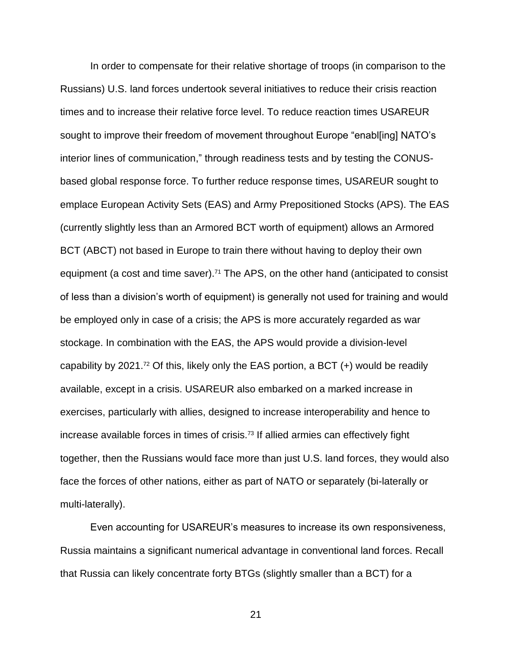In order to compensate for their relative shortage of troops (in comparison to the Russians) U.S. land forces undertook several initiatives to reduce their crisis reaction times and to increase their relative force level. To reduce reaction times USAREUR sought to improve their freedom of movement throughout Europe "enabl[ing] NATO's interior lines of communication," through readiness tests and by testing the CONUSbased global response force. To further reduce response times, USAREUR sought to emplace European Activity Sets (EAS) and Army Prepositioned Stocks (APS). The EAS (currently slightly less than an Armored BCT worth of equipment) allows an Armored BCT (ABCT) not based in Europe to train there without having to deploy their own equipment (a cost and time saver).<sup>71</sup> The APS, on the other hand (anticipated to consist of less than a division's worth of equipment) is generally not used for training and would be employed only in case of a crisis; the APS is more accurately regarded as war stockage. In combination with the EAS, the APS would provide a division-level capability by 2021.<sup>72</sup> Of this, likely only the EAS portion, a BCT  $(+)$  would be readily available, except in a crisis. USAREUR also embarked on a marked increase in exercises, particularly with allies, designed to increase interoperability and hence to increase available forces in times of crisis.<sup>73</sup> If allied armies can effectively fight together, then the Russians would face more than just U.S. land forces, they would also face the forces of other nations, either as part of NATO or separately (bi-laterally or multi-laterally).

Even accounting for USAREUR's measures to increase its own responsiveness, Russia maintains a significant numerical advantage in conventional land forces. Recall that Russia can likely concentrate forty BTGs (slightly smaller than a BCT) for a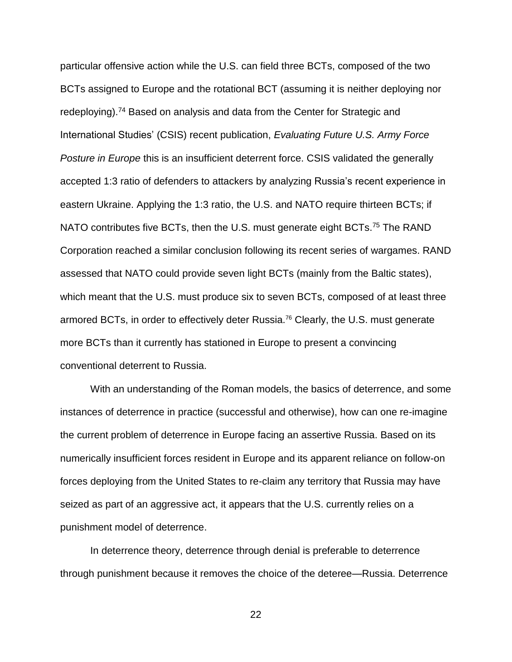particular offensive action while the U.S. can field three BCTs, composed of the two BCTs assigned to Europe and the rotational BCT (assuming it is neither deploying nor redeploying).<sup>74</sup> Based on analysis and data from the Center for Strategic and International Studies' (CSIS) recent publication, *Evaluating Future U.S. Army Force Posture in Europe* this is an insufficient deterrent force. CSIS validated the generally accepted 1:3 ratio of defenders to attackers by analyzing Russia's recent experience in eastern Ukraine. Applying the 1:3 ratio, the U.S. and NATO require thirteen BCTs; if NATO contributes five BCTs, then the U.S. must generate eight BCTs.<sup>75</sup> The RAND Corporation reached a similar conclusion following its recent series of wargames. RAND assessed that NATO could provide seven light BCTs (mainly from the Baltic states), which meant that the U.S. must produce six to seven BCTs, composed of at least three armored BCTs, in order to effectively deter Russia.<sup>76</sup> Clearly, the U.S. must generate more BCTs than it currently has stationed in Europe to present a convincing conventional deterrent to Russia.

With an understanding of the Roman models, the basics of deterrence, and some instances of deterrence in practice (successful and otherwise), how can one re-imagine the current problem of deterrence in Europe facing an assertive Russia. Based on its numerically insufficient forces resident in Europe and its apparent reliance on follow-on forces deploying from the United States to re-claim any territory that Russia may have seized as part of an aggressive act, it appears that the U.S. currently relies on a punishment model of deterrence.

In deterrence theory, deterrence through denial is preferable to deterrence through punishment because it removes the choice of the deteree—Russia. Deterrence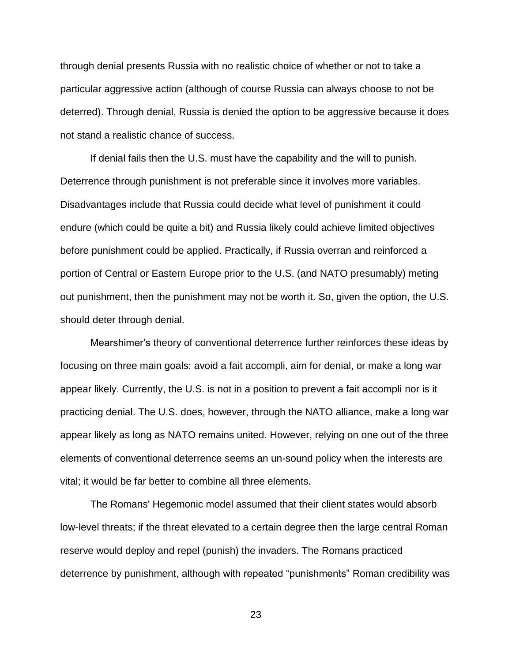through denial presents Russia with no realistic choice of whether or not to take a particular aggressive action (although of course Russia can always choose to not be deterred). Through denial, Russia is denied the option to be aggressive because it does not stand a realistic chance of success.

If denial fails then the U.S. must have the capability and the will to punish. Deterrence through punishment is not preferable since it involves more variables. Disadvantages include that Russia could decide what level of punishment it could endure (which could be quite a bit) and Russia likely could achieve limited objectives before punishment could be applied. Practically, if Russia overran and reinforced a portion of Central or Eastern Europe prior to the U.S. (and NATO presumably) meting out punishment, then the punishment may not be worth it. So, given the option, the U.S. should deter through denial.

Mearshimer's theory of conventional deterrence further reinforces these ideas by focusing on three main goals: avoid a fait accompli, aim for denial, or make a long war appear likely. Currently, the U.S. is not in a position to prevent a fait accompli nor is it practicing denial. The U.S. does, however, through the NATO alliance, make a long war appear likely as long as NATO remains united. However, relying on one out of the three elements of conventional deterrence seems an un-sound policy when the interests are vital; it would be far better to combine all three elements.

The Romans' Hegemonic model assumed that their client states would absorb low-level threats; if the threat elevated to a certain degree then the large central Roman reserve would deploy and repel (punish) the invaders. The Romans practiced deterrence by punishment, although with repeated "punishments" Roman credibility was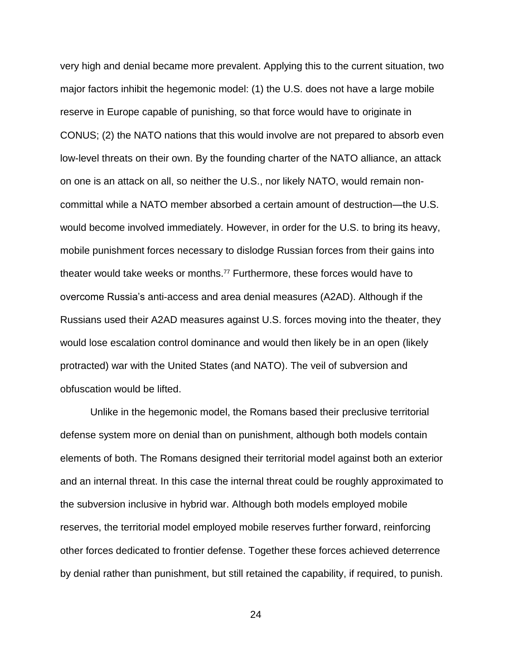very high and denial became more prevalent. Applying this to the current situation, two major factors inhibit the hegemonic model: (1) the U.S. does not have a large mobile reserve in Europe capable of punishing, so that force would have to originate in CONUS; (2) the NATO nations that this would involve are not prepared to absorb even low-level threats on their own. By the founding charter of the NATO alliance, an attack on one is an attack on all, so neither the U.S., nor likely NATO, would remain noncommittal while a NATO member absorbed a certain amount of destruction—the U.S. would become involved immediately. However, in order for the U.S. to bring its heavy, mobile punishment forces necessary to dislodge Russian forces from their gains into theater would take weeks or months.<sup>77</sup> Furthermore, these forces would have to overcome Russia's anti-access and area denial measures (A2AD). Although if the Russians used their A2AD measures against U.S. forces moving into the theater, they would lose escalation control dominance and would then likely be in an open (likely protracted) war with the United States (and NATO). The veil of subversion and obfuscation would be lifted.

Unlike in the hegemonic model, the Romans based their preclusive territorial defense system more on denial than on punishment, although both models contain elements of both. The Romans designed their territorial model against both an exterior and an internal threat. In this case the internal threat could be roughly approximated to the subversion inclusive in hybrid war. Although both models employed mobile reserves, the territorial model employed mobile reserves further forward, reinforcing other forces dedicated to frontier defense. Together these forces achieved deterrence by denial rather than punishment, but still retained the capability, if required, to punish.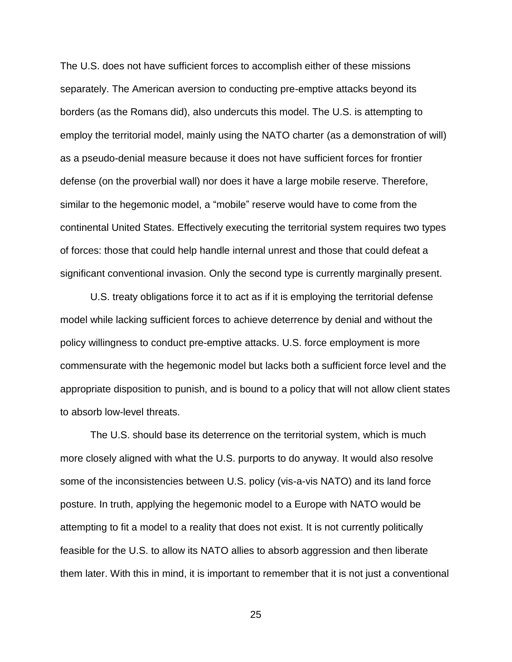The U.S. does not have sufficient forces to accomplish either of these missions separately. The American aversion to conducting pre-emptive attacks beyond its borders (as the Romans did), also undercuts this model. The U.S. is attempting to employ the territorial model, mainly using the NATO charter (as a demonstration of will) as a pseudo-denial measure because it does not have sufficient forces for frontier defense (on the proverbial wall) nor does it have a large mobile reserve. Therefore, similar to the hegemonic model, a "mobile" reserve would have to come from the continental United States. Effectively executing the territorial system requires two types of forces: those that could help handle internal unrest and those that could defeat a significant conventional invasion. Only the second type is currently marginally present.

U.S. treaty obligations force it to act as if it is employing the territorial defense model while lacking sufficient forces to achieve deterrence by denial and without the policy willingness to conduct pre-emptive attacks. U.S. force employment is more commensurate with the hegemonic model but lacks both a sufficient force level and the appropriate disposition to punish, and is bound to a policy that will not allow client states to absorb low-level threats.

The U.S. should base its deterrence on the territorial system, which is much more closely aligned with what the U.S. purports to do anyway. It would also resolve some of the inconsistencies between U.S. policy (vis-a-vis NATO) and its land force posture. In truth, applying the hegemonic model to a Europe with NATO would be attempting to fit a model to a reality that does not exist. It is not currently politically feasible for the U.S. to allow its NATO allies to absorb aggression and then liberate them later. With this in mind, it is important to remember that it is not just a conventional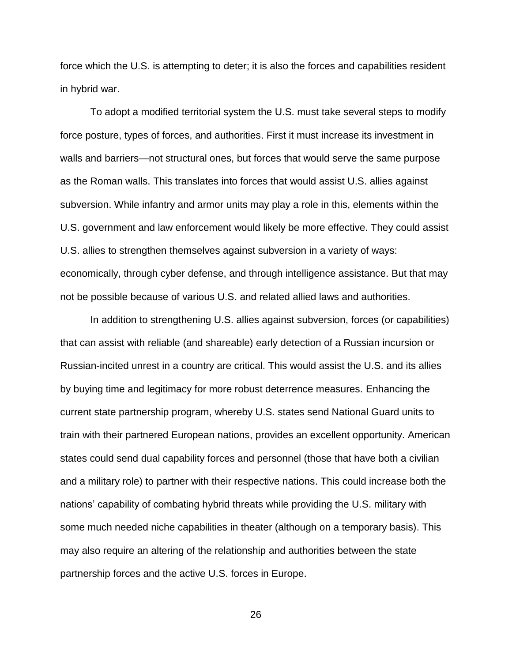force which the U.S. is attempting to deter; it is also the forces and capabilities resident in hybrid war.

To adopt a modified territorial system the U.S. must take several steps to modify force posture, types of forces, and authorities. First it must increase its investment in walls and barriers—not structural ones, but forces that would serve the same purpose as the Roman walls. This translates into forces that would assist U.S. allies against subversion. While infantry and armor units may play a role in this, elements within the U.S. government and law enforcement would likely be more effective. They could assist U.S. allies to strengthen themselves against subversion in a variety of ways: economically, through cyber defense, and through intelligence assistance. But that may not be possible because of various U.S. and related allied laws and authorities.

In addition to strengthening U.S. allies against subversion, forces (or capabilities) that can assist with reliable (and shareable) early detection of a Russian incursion or Russian-incited unrest in a country are critical. This would assist the U.S. and its allies by buying time and legitimacy for more robust deterrence measures. Enhancing the current state partnership program, whereby U.S. states send National Guard units to train with their partnered European nations, provides an excellent opportunity. American states could send dual capability forces and personnel (those that have both a civilian and a military role) to partner with their respective nations. This could increase both the nations' capability of combating hybrid threats while providing the U.S. military with some much needed niche capabilities in theater (although on a temporary basis). This may also require an altering of the relationship and authorities between the state partnership forces and the active U.S. forces in Europe.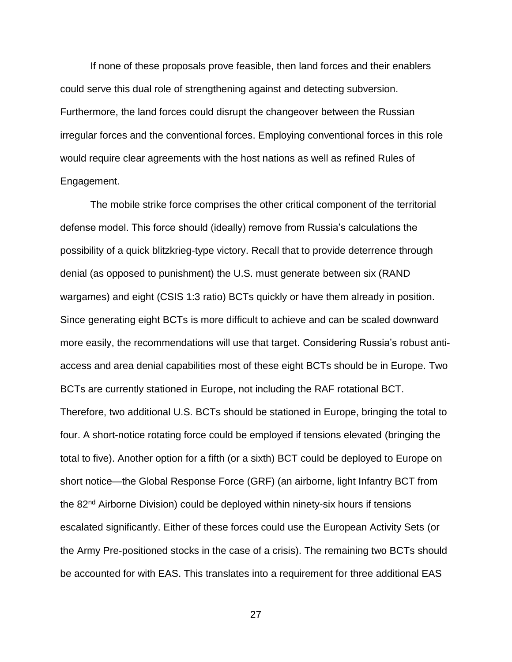If none of these proposals prove feasible, then land forces and their enablers could serve this dual role of strengthening against and detecting subversion. Furthermore, the land forces could disrupt the changeover between the Russian irregular forces and the conventional forces. Employing conventional forces in this role would require clear agreements with the host nations as well as refined Rules of Engagement.

The mobile strike force comprises the other critical component of the territorial defense model. This force should (ideally) remove from Russia's calculations the possibility of a quick blitzkrieg-type victory. Recall that to provide deterrence through denial (as opposed to punishment) the U.S. must generate between six (RAND wargames) and eight (CSIS 1:3 ratio) BCTs quickly or have them already in position. Since generating eight BCTs is more difficult to achieve and can be scaled downward more easily, the recommendations will use that target. Considering Russia's robust antiaccess and area denial capabilities most of these eight BCTs should be in Europe. Two BCTs are currently stationed in Europe, not including the RAF rotational BCT. Therefore, two additional U.S. BCTs should be stationed in Europe, bringing the total to four. A short-notice rotating force could be employed if tensions elevated (bringing the total to five). Another option for a fifth (or a sixth) BCT could be deployed to Europe on short notice—the Global Response Force (GRF) (an airborne, light Infantry BCT from the 82<sup>nd</sup> Airborne Division) could be deployed within ninety-six hours if tensions escalated significantly. Either of these forces could use the European Activity Sets (or the Army Pre-positioned stocks in the case of a crisis). The remaining two BCTs should be accounted for with EAS. This translates into a requirement for three additional EAS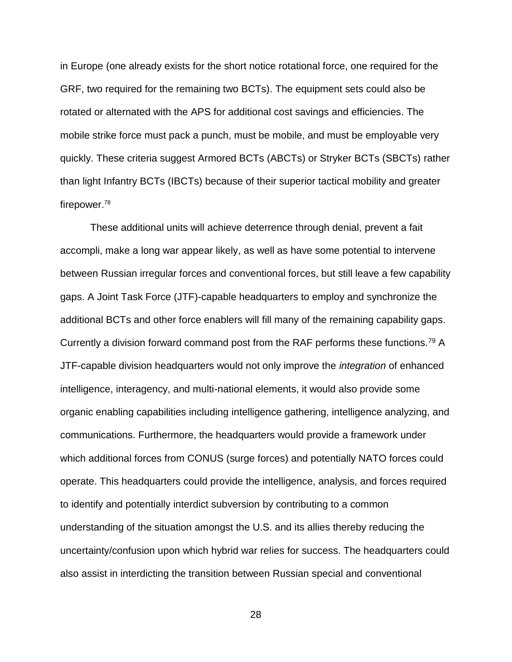in Europe (one already exists for the short notice rotational force, one required for the GRF, two required for the remaining two BCTs). The equipment sets could also be rotated or alternated with the APS for additional cost savings and efficiencies. The mobile strike force must pack a punch, must be mobile, and must be employable very quickly. These criteria suggest Armored BCTs (ABCTs) or Stryker BCTs (SBCTs) rather than light Infantry BCTs (IBCTs) because of their superior tactical mobility and greater firepower.<sup>78</sup>

These additional units will achieve deterrence through denial, prevent a fait accompli, make a long war appear likely, as well as have some potential to intervene between Russian irregular forces and conventional forces, but still leave a few capability gaps. A Joint Task Force (JTF)-capable headquarters to employ and synchronize the additional BCTs and other force enablers will fill many of the remaining capability gaps. Currently a division forward command post from the RAF performs these functions.<sup>79</sup> A JTF-capable division headquarters would not only improve the *integration* of enhanced intelligence, interagency, and multi-national elements, it would also provide some organic enabling capabilities including intelligence gathering, intelligence analyzing, and communications. Furthermore, the headquarters would provide a framework under which additional forces from CONUS (surge forces) and potentially NATO forces could operate. This headquarters could provide the intelligence, analysis, and forces required to identify and potentially interdict subversion by contributing to a common understanding of the situation amongst the U.S. and its allies thereby reducing the uncertainty/confusion upon which hybrid war relies for success. The headquarters could also assist in interdicting the transition between Russian special and conventional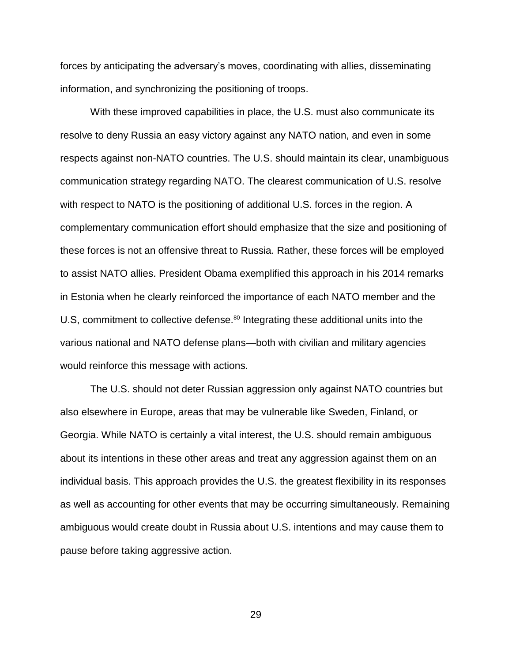forces by anticipating the adversary's moves, coordinating with allies, disseminating information, and synchronizing the positioning of troops.

With these improved capabilities in place, the U.S. must also communicate its resolve to deny Russia an easy victory against any NATO nation, and even in some respects against non-NATO countries. The U.S. should maintain its clear, unambiguous communication strategy regarding NATO. The clearest communication of U.S. resolve with respect to NATO is the positioning of additional U.S. forces in the region. A complementary communication effort should emphasize that the size and positioning of these forces is not an offensive threat to Russia. Rather, these forces will be employed to assist NATO allies. President Obama exemplified this approach in his 2014 remarks in Estonia when he clearly reinforced the importance of each NATO member and the U.S, commitment to collective defense.<sup>80</sup> Integrating these additional units into the various national and NATO defense plans—both with civilian and military agencies would reinforce this message with actions.

The U.S. should not deter Russian aggression only against NATO countries but also elsewhere in Europe, areas that may be vulnerable like Sweden, Finland, or Georgia. While NATO is certainly a vital interest, the U.S. should remain ambiguous about its intentions in these other areas and treat any aggression against them on an individual basis. This approach provides the U.S. the greatest flexibility in its responses as well as accounting for other events that may be occurring simultaneously. Remaining ambiguous would create doubt in Russia about U.S. intentions and may cause them to pause before taking aggressive action.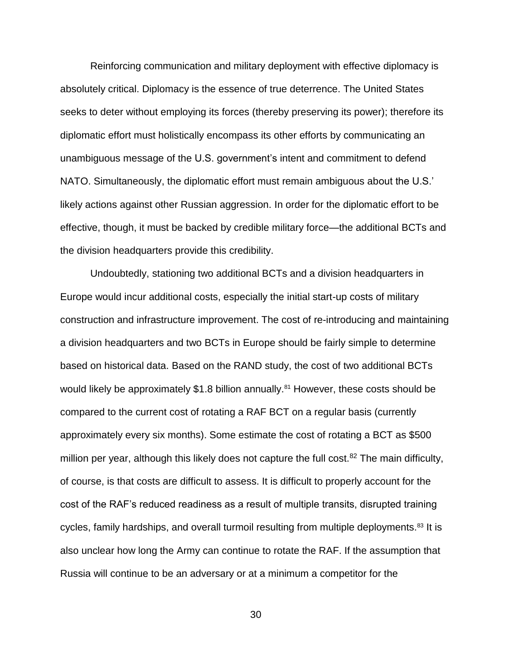Reinforcing communication and military deployment with effective diplomacy is absolutely critical. Diplomacy is the essence of true deterrence. The United States seeks to deter without employing its forces (thereby preserving its power); therefore its diplomatic effort must holistically encompass its other efforts by communicating an unambiguous message of the U.S. government's intent and commitment to defend NATO. Simultaneously, the diplomatic effort must remain ambiguous about the U.S.' likely actions against other Russian aggression. In order for the diplomatic effort to be effective, though, it must be backed by credible military force—the additional BCTs and the division headquarters provide this credibility.

Undoubtedly, stationing two additional BCTs and a division headquarters in Europe would incur additional costs, especially the initial start-up costs of military construction and infrastructure improvement. The cost of re-introducing and maintaining a division headquarters and two BCTs in Europe should be fairly simple to determine based on historical data. Based on the RAND study, the cost of two additional BCTs would likely be approximately  $$1.8$  billion annually.<sup>81</sup> However, these costs should be compared to the current cost of rotating a RAF BCT on a regular basis (currently approximately every six months). Some estimate the cost of rotating a BCT as \$500 million per year, although this likely does not capture the full cost.<sup>82</sup> The main difficulty, of course, is that costs are difficult to assess. It is difficult to properly account for the cost of the RAF's reduced readiness as a result of multiple transits, disrupted training cycles, family hardships, and overall turmoil resulting from multiple deployments.<sup>83</sup> It is also unclear how long the Army can continue to rotate the RAF. If the assumption that Russia will continue to be an adversary or at a minimum a competitor for the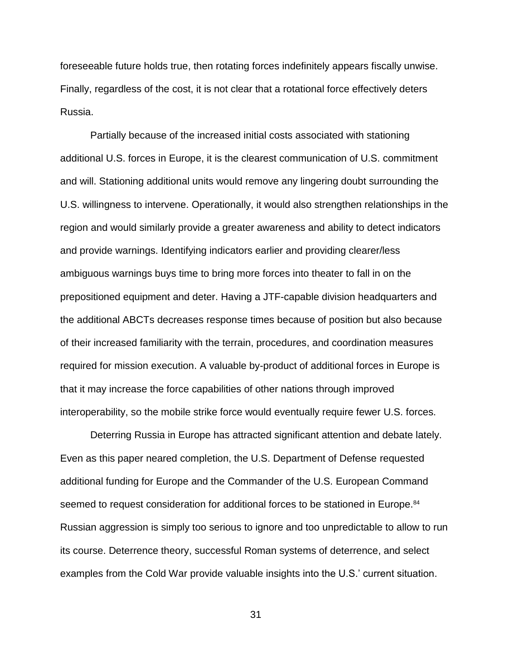foreseeable future holds true, then rotating forces indefinitely appears fiscally unwise. Finally, regardless of the cost, it is not clear that a rotational force effectively deters Russia.

Partially because of the increased initial costs associated with stationing additional U.S. forces in Europe, it is the clearest communication of U.S. commitment and will. Stationing additional units would remove any lingering doubt surrounding the U.S. willingness to intervene. Operationally, it would also strengthen relationships in the region and would similarly provide a greater awareness and ability to detect indicators and provide warnings. Identifying indicators earlier and providing clearer/less ambiguous warnings buys time to bring more forces into theater to fall in on the prepositioned equipment and deter. Having a JTF-capable division headquarters and the additional ABCTs decreases response times because of position but also because of their increased familiarity with the terrain, procedures, and coordination measures required for mission execution. A valuable by-product of additional forces in Europe is that it may increase the force capabilities of other nations through improved interoperability, so the mobile strike force would eventually require fewer U.S. forces.

Deterring Russia in Europe has attracted significant attention and debate lately. Even as this paper neared completion, the U.S. Department of Defense requested additional funding for Europe and the Commander of the U.S. European Command seemed to request consideration for additional forces to be stationed in Europe.<sup>84</sup> Russian aggression is simply too serious to ignore and too unpredictable to allow to run its course. Deterrence theory, successful Roman systems of deterrence, and select examples from the Cold War provide valuable insights into the U.S.' current situation.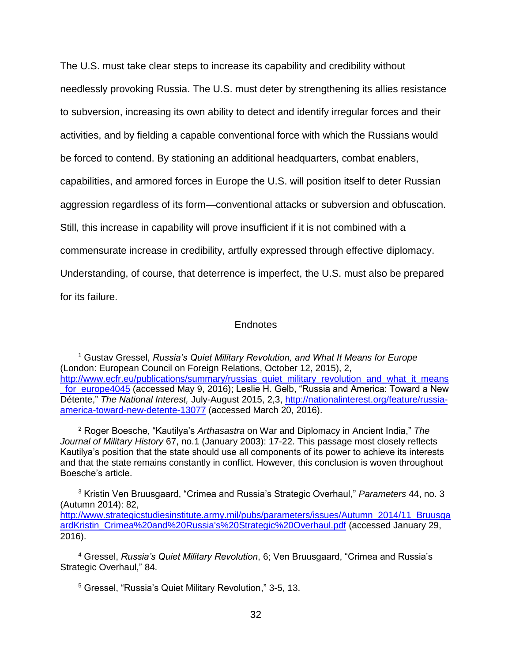The U.S. must take clear steps to increase its capability and credibility without needlessly provoking Russia. The U.S. must deter by strengthening its allies resistance to subversion, increasing its own ability to detect and identify irregular forces and their activities, and by fielding a capable conventional force with which the Russians would be forced to contend. By stationing an additional headquarters, combat enablers, capabilities, and armored forces in Europe the U.S. will position itself to deter Russian aggression regardless of its form—conventional attacks or subversion and obfuscation. Still, this increase in capability will prove insufficient if it is not combined with a commensurate increase in credibility, artfully expressed through effective diplomacy. Understanding, of course, that deterrence is imperfect, the U.S. must also be prepared for its failure.

### Endnotes

<sup>1</sup> Gustav Gressel, *Russia's Quiet Military Revolution, and What It Means for Europe* (London: European Council on Foreign Relations, October 12, 2015), 2, [http://www.ecfr.eu/publications/summary/russias\\_quiet\\_military\\_revolution\\_and\\_what\\_it\\_means](http://www.ecfr.eu/publications/summary/russias_quiet_military_revolution_and_what_it_means_for_europe4045) for europe4045 (accessed May 9, 2016); Leslie H. Gelb, "Russia and America: Toward a New Détente," The National Interest, July-August 2015, 2,3, [http://nationalinterest.org/feature/russia](http://nationalinterest.org/feature/russia-america-toward-new-detente-13077)[america-toward-new-detente-13077](http://nationalinterest.org/feature/russia-america-toward-new-detente-13077) (accessed March 20, 2016).

<sup>2</sup> Roger Boesche, "Kautilya's *Arthasastra* on War and Diplomacy in Ancient India," *The Journal of Military History* 67, no.1 (January 2003): 17-22. This passage most closely reflects Kautilya's position that the state should use all components of its power to achieve its interests and that the state remains constantly in conflict. However, this conclusion is woven throughout Boesche's article.

<sup>3</sup> Kristin Ven Bruusgaard, "Crimea and Russia's Strategic Overhaul," *Parameters* 44, no. 3 (Autumn 2014): 82, [http://www.strategicstudiesinstitute.army.mil/pubs/parameters/issues/Autumn\\_2014/11\\_Bruusga](http://www.strategicstudiesinstitute.army.mil/pubs/parameters/issues/Autumn_2014/11_BruusgaardKristin_Crimea%20and%20Russia) [ardKristin\\_Crimea%20and%20Russia's%20Strategic%20Overhaul.pdf](http://www.strategicstudiesinstitute.army.mil/pubs/parameters/issues/Autumn_2014/11_BruusgaardKristin_Crimea%20and%20Russia) (accessed January 29, 2016).

<sup>4</sup> Gressel, *Russia's Quiet Military Revolution*, 6; Ven Bruusgaard, "Crimea and Russia's Strategic Overhaul," 84.

<sup>5</sup> Gressel, "Russia's Quiet Military Revolution," 3-5, 13.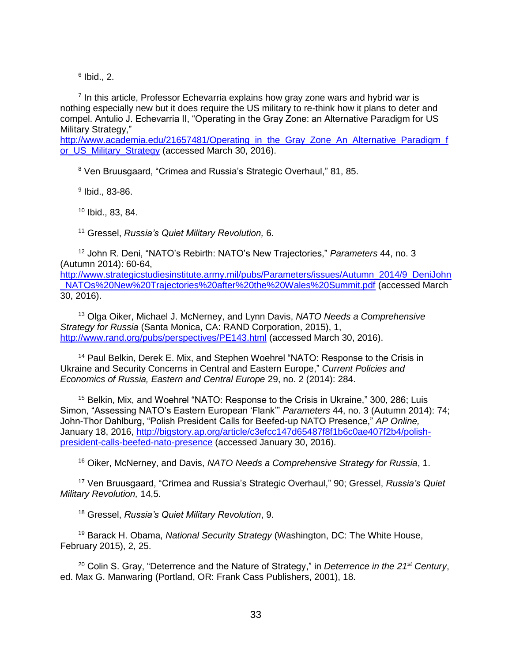$6$  Ibid., 2.

<sup>7</sup> In this article, Professor Echevarria explains how gray zone wars and hybrid war is nothing especially new but it does require the US military to re-think how it plans to deter and compel. Antulio J. Echevarria II, "Operating in the Gray Zone: an Alternative Paradigm for US Military Strategy,"

[http://www.academia.edu/21657481/Operating\\_in\\_the\\_Gray\\_Zone\\_An\\_Alternative\\_Paradigm\\_f](http://www.academia.edu/21657481/Operating_in_the_Gray_Zone_An_Alternative_Paradigm_for_US_Military_Strategy) [or\\_US\\_Military\\_Strategy](http://www.academia.edu/21657481/Operating_in_the_Gray_Zone_An_Alternative_Paradigm_for_US_Military_Strategy) (accessed March 30, 2016).

<sup>8</sup> Ven Bruusgaard, "Crimea and Russia's Strategic Overhaul," 81, 85.

9 Ibid., 83-86.

<sup>10</sup> Ibid., 83, 84.

<sup>11</sup> Gressel, *Russia's Quiet Military Revolution,* 6.

<sup>12</sup> John R. Deni, "NATO's Rebirth: NATO's New Trajectories," *Parameters* 44, no. 3 (Autumn 2014): 60-64,

[http://www.strategicstudiesinstitute.army.mil/pubs/Parameters/issues/Autumn\\_2014/9\\_DeniJohn](http://www.strategicstudiesinstitute.army.mil/pubs/Parameters/issues/Autumn_2014/9_DeniJohn_NATOs%20New%20Trajectories%20after%20the%20Wales%20Summit.pdf) [\\_NATOs%20New%20Trajectories%20after%20the%20Wales%20Summit.pdf](http://www.strategicstudiesinstitute.army.mil/pubs/Parameters/issues/Autumn_2014/9_DeniJohn_NATOs%20New%20Trajectories%20after%20the%20Wales%20Summit.pdf) (accessed March 30, 2016).

<sup>13</sup> Olga Oiker, Michael J. McNerney, and Lynn Davis, *NATO Needs a Comprehensive Strategy for Russia* (Santa Monica, CA: RAND Corporation, 2015), 1, <http://www.rand.org/pubs/perspectives/PE143.html> (accessed March 30, 2016).

<sup>14</sup> Paul Belkin, Derek E. Mix, and Stephen Woehrel "NATO: Response to the Crisis in Ukraine and Security Concerns in Central and Eastern Europe," *Current Policies and Economics of Russia, Eastern and Central Europe* 29, no. 2 (2014): 284.

<sup>15</sup> Belkin, Mix, and Woehrel "NATO: Response to the Crisis in Ukraine," 300, 286; Luis Simon, "Assessing NATO's Eastern European 'Flank'" *Parameters* 44, no. 3 (Autumn 2014): 74; John-Thor Dahlburg, "Polish President Calls for Beefed-up NATO Presence," *AP Online,* January 18, 2016, [http://bigstory.ap.org/article/c3efcc147d65487f8f1b6c0ae407f2b4/polish](http://bigstory.ap.org/article/c3efcc147d65487f8f1b6c0ae407f2b4/polish-president-calls-beefed-nato-presence)[president-calls-beefed-nato-presence](http://bigstory.ap.org/article/c3efcc147d65487f8f1b6c0ae407f2b4/polish-president-calls-beefed-nato-presence) (accessed January 30, 2016).

<sup>16</sup> Oiker, McNerney, and Davis, *NATO Needs a Comprehensive Strategy for Russia*, 1.

<sup>17</sup> Ven Bruusgaard, "Crimea and Russia's Strategic Overhaul," 90; Gressel, *Russia's Quiet Military Revolution,* 14,5.

<sup>18</sup> Gressel, *Russia's Quiet Military Revolution*, 9.

<sup>19</sup> Barack H. Obama, *National Security Strategy* (Washington, DC: The White House, February 2015), 2, 25.

<sup>20</sup> Colin S. Gray, "Deterrence and the Nature of Strategy," in *Deterrence in the 21st Century*, ed. Max G. Manwaring (Portland, OR: Frank Cass Publishers, 2001), 18.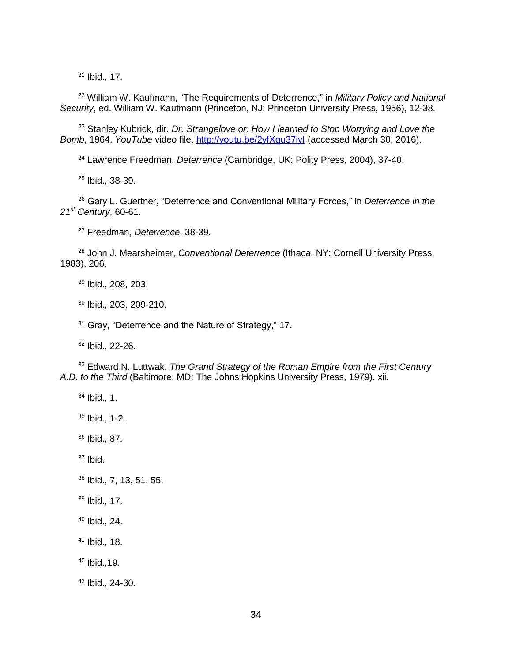Ibid., 17.

 William W. Kaufmann, "The Requirements of Deterrence," in *Military Policy and National Security*, ed. William W. Kaufmann (Princeton, NJ: Princeton University Press, 1956), 12-38.

 Stanley Kubrick, dir. *Dr. Strangelove or: How I learned to Stop Worrying and Love the Bomb*, 1964, *YouTube* video file,<http://youtu.be/2yfXgu37iyI> (accessed March 30, 2016).

Lawrence Freedman, *Deterrence* (Cambridge, UK: Polity Press, 2004), 37-40.

Ibid., 38-39.

 Gary L. Guertner, "Deterrence and Conventional Military Forces," in *Deterrence in the st Century*, 60-61.

Freedman, *Deterrence*, 38-39.

 John J. Mearsheimer, *Conventional Deterrence* (Ithaca, NY: Cornell University Press, 1983), 206.

Ibid., 208, 203.

Ibid., 203, 209-210.

<sup>31</sup> Gray, "Deterrence and the Nature of Strategy," 17.

Ibid., 22-26.

 Edward N. Luttwak, *The Grand Strategy of the Roman Empire from the First Century A.D. to the Third* (Baltimore, MD: The Johns Hopkins University Press, 1979), xii.

- Ibid., 1.
- Ibid., 1-2.
- Ibid., 87.

Ibid.

- Ibid., 7, 13, 51, 55.
- Ibid., 17.
- Ibid., 24.
- Ibid., 18.
- Ibid.,19.
- Ibid., 24-30.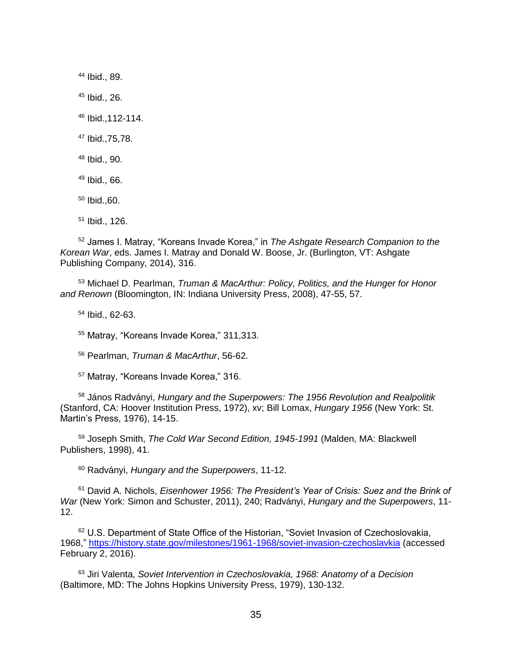Ibid., 89. Ibid., 26. Ibid.,112-114. Ibid.,75,78. Ibid., 90. Ibid., 66. Ibid.,60. Ibid., 126.

 James I. Matray, "Koreans Invade Korea," in *The Ashgate Research Companion to the Korean War*, eds. James I. Matray and Donald W. Boose, Jr. (Burlington, VT: Ashgate Publishing Company, 2014), 316.

 Michael D. Pearlman, *Truman & MacArthur: Policy, Politics, and the Hunger for Honor and Renown* (Bloomington, IN: Indiana University Press, 2008), 47-55, 57.

Ibid., 62-63.

Matray, "Koreans Invade Korea," 311,313.

Pearlman, *Truman & MacArthur*, 56-62.

Matray, "Koreans Invade Korea," 316.

 János Radványi, *Hungary and the Superpowers: The 1956 Revolution and Realpolitik* (Stanford, CA: Hoover Institution Press, 1972), xv; Bill Lomax, *Hungary 1956* (New York: St. Martin's Press, 1976), 14-15.

 Joseph Smith, *The Cold War Second Edition, 1945-1991* (Malden, MA: Blackwell Publishers, 1998), 41.

Radványi, *Hungary and the Superpowers*, 11-12.

 David A. Nichols, *Eisenhower 1956: The President's Year of Crisis: Suez and the Brink of War* (New York: Simon and Schuster, 2011), 240; Radványi, *Hungary and the Superpowers*, 11- 12.

<sup>62</sup> U.S. Department of State Office of the Historian, "Soviet Invasion of Czechoslovakia, 1968,"<https://history.state.gov/milestones/1961-1968/soviet-invasion-czechoslavkia> (accessed February 2, 2016).

 Jiri Valenta, *Soviet Intervention in Czechoslovakia, 1968: Anatomy of a Decision* (Baltimore, MD: The Johns Hopkins University Press, 1979), 130-132.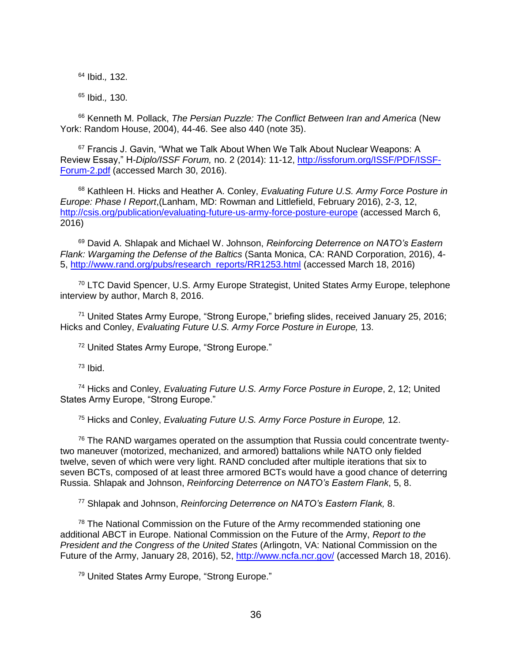<sup>64</sup> Ibid.*,* 132.

<sup>65</sup> Ibid.*,* 130.

<sup>66</sup> Kenneth M. Pollack, *The Persian Puzzle: The Conflict Between Iran and America* (New York: Random House, 2004), 44-46. See also 440 (note 35).

<sup>67</sup> Francis J. Gavin, "What we Talk About When We Talk About Nuclear Weapons: A Review Essay," H*-Diplo/ISSF Forum,* no. 2 (2014): 11-12, [http://issforum.org/ISSF/PDF/ISSF-](http://issforum.org/ISSF/PDF/ISSF-Forum-2.pdf)[Forum-2.pdf](http://issforum.org/ISSF/PDF/ISSF-Forum-2.pdf) (accessed March 30, 2016).

<sup>68</sup> Kathleen H. Hicks and Heather A. Conley, *Evaluating Future U.S. Army Force Posture in Europe: Phase I Report*,(Lanham, MD: Rowman and Littlefield, February 2016), 2-3, 12, <http://csis.org/publication/evaluating-future-us-army-force-posture-europe> (accessed March 6, 2016)

<sup>69</sup> David A. Shlapak and Michael W. Johnson, *Reinforcing Deterrence on NATO's Eastern Flank: Wargaming the Defense of the Baltics* (Santa Monica, CA: RAND Corporation, 2016), 4- 5, [http://www.rand.org/pubs/research\\_reports/RR1253.html](http://www.rand.org/pubs/research_reports/RR1253.html) (accessed March 18, 2016)

<sup>70</sup> LTC David Spencer, U.S. Army Europe Strategist, United States Army Europe, telephone interview by author, March 8, 2016.

<sup>71</sup> United States Army Europe, "Strong Europe," briefing slides, received January 25, 2016; Hicks and Conley, *Evaluating Future U.S. Army Force Posture in Europe,* 13.

<sup>72</sup> United States Army Europe, "Strong Europe."

 $73$  Ibid.

<sup>74</sup> Hicks and Conley, *Evaluating Future U.S. Army Force Posture in Europe*, 2, 12; United States Army Europe, "Strong Europe."

<sup>75</sup> Hicks and Conley, *Evaluating Future U.S. Army Force Posture in Europe,* 12.

 $76$  The RAND wargames operated on the assumption that Russia could concentrate twentytwo maneuver (motorized, mechanized, and armored) battalions while NATO only fielded twelve, seven of which were very light. RAND concluded after multiple iterations that six to seven BCTs, composed of at least three armored BCTs would have a good chance of deterring Russia. Shlapak and Johnson, *Reinforcing Deterrence on NATO's Eastern Flank*, 5, 8.

<sup>77</sup> Shlapak and Johnson, *Reinforcing Deterrence on NATO's Eastern Flank,* 8.

 $78$  The National Commission on the Future of the Army recommended stationing one additional ABCT in Europe. National Commission on the Future of the Army, *Report to the President and the Congress of the United States* (Arlingotn, VA: National Commission on the Future of the Army, January 28, 2016), 52, <http://www.ncfa.ncr.gov/> (accessed March 18, 2016).

<sup>79</sup> United States Army Europe, "Strong Europe."